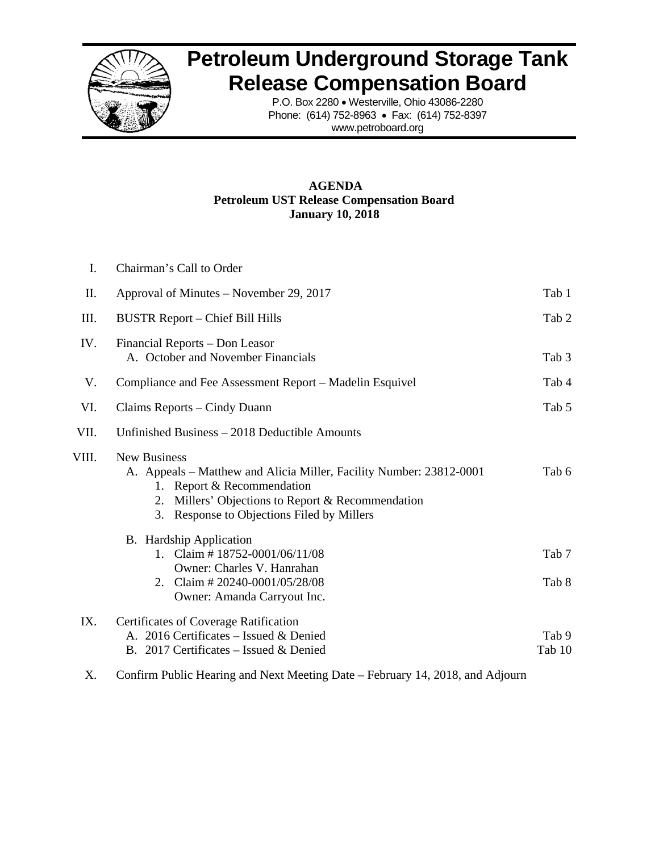

## **Petroleum Underground Storage Tank Release Compensation Board**

P.O. Box 2280 • Westerville, Ohio 43086-2280 Phone: (614) 752-8963 • Fax: (614) 752-8397 www.petroboard.org

## **AGENDA Petroleum UST Release Compensation Board January 10, 2018**

| L     | Chairman's Call to Order                                                                                                                                                                                                          |                 |
|-------|-----------------------------------------------------------------------------------------------------------------------------------------------------------------------------------------------------------------------------------|-----------------|
| П.    | Approval of Minutes – November 29, 2017                                                                                                                                                                                           | Tab 1           |
| Ш.    | <b>BUSTR Report – Chief Bill Hills</b>                                                                                                                                                                                            | Tab 2           |
| IV.   | Financial Reports – Don Leasor<br>A. October and November Financials                                                                                                                                                              | Tab 3           |
| V.    | Compliance and Fee Assessment Report – Madelin Esquivel                                                                                                                                                                           | Tab 4           |
| VI.   | Claims Reports – Cindy Duann                                                                                                                                                                                                      | Tab 5           |
| VII.  | Unfinished Business – 2018 Deductible Amounts                                                                                                                                                                                     |                 |
| VIII. | <b>New Business</b><br>A. Appeals – Matthew and Alicia Miller, Facility Number: 23812-0001<br>Report & Recommendation<br>1.<br>Millers' Objections to Report & Recommendation<br>2.<br>3. Response to Objections Filed by Millers | Tab 6           |
|       | <b>B.</b> Hardship Application<br>1. Claim #18752-0001/06/11/08<br>Owner: Charles V. Hanrahan<br>2. Claim # 20240-0001/05/28/08<br>Owner: Amanda Carryout Inc.                                                                    | Tab 7<br>Tab 8  |
| IX.   | Certificates of Coverage Ratification<br>A. 2016 Certificates – Issued & Denied<br>B. 2017 Certificates – Issued & Denied                                                                                                         | Tab 9<br>Tab 10 |

X. Confirm Public Hearing and Next Meeting Date – February 14, 2018, and Adjourn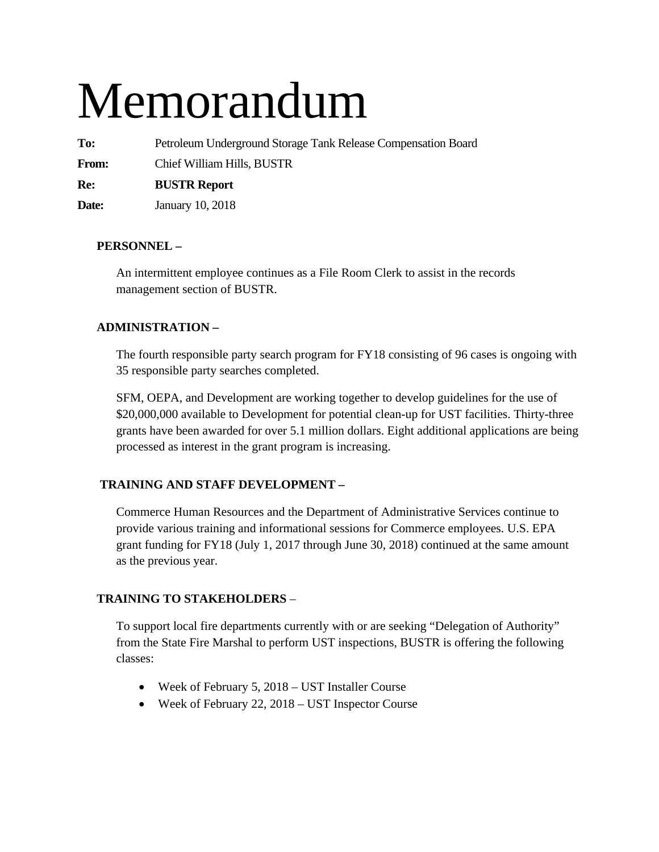# Memorandum

**To:** Petroleum Underground Storage Tank Release Compensation Board

**From:** Chief William Hills, BUSTR

**Re: BUSTR Report** 

**Date:** January 10, 2018

## **PERSONNEL –**

An intermittent employee continues as a File Room Clerk to assist in the records management section of BUSTR.

## **ADMINISTRATION –**

The fourth responsible party search program for FY18 consisting of 96 cases is ongoing with 35 responsible party searches completed.

SFM, OEPA, and Development are working together to develop guidelines for the use of \$20,000,000 available to Development for potential clean-up for UST facilities. Thirty-three grants have been awarded for over 5.1 million dollars. Eight additional applications are being processed as interest in the grant program is increasing.

## **TRAINING AND STAFF DEVELOPMENT –**

Commerce Human Resources and the Department of Administrative Services continue to provide various training and informational sessions for Commerce employees. U.S. EPA grant funding for FY18 (July 1, 2017 through June 30, 2018) continued at the same amount as the previous year.

## **TRAINING TO STAKEHOLDERS** –

To support local fire departments currently with or are seeking "Delegation of Authority" from the State Fire Marshal to perform UST inspections, BUSTR is offering the following classes:

- Week of February 5, 2018 UST Installer Course
- Week of February 22, 2018 UST Inspector Course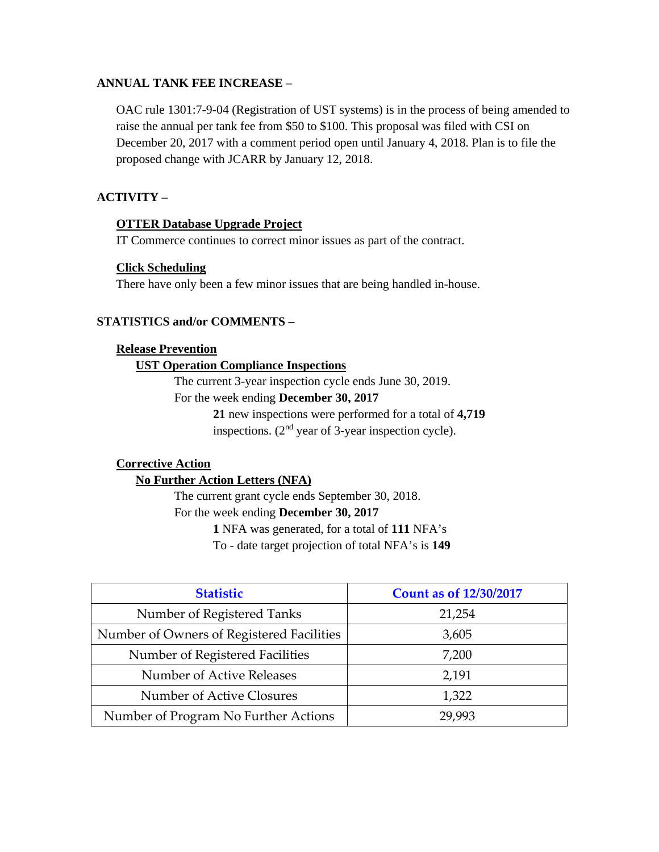## **ANNUAL TANK FEE INCREASE** –

OAC rule 1301:7-9-04 (Registration of UST systems) is in the process of being amended to raise the annual per tank fee from \$50 to \$100. This proposal was filed with CSI on December 20, 2017 with a comment period open until January 4, 2018. Plan is to file the proposed change with JCARR by January 12, 2018.

## **ACTIVITY –**

## **OTTER Database Upgrade Project**

IT Commerce continues to correct minor issues as part of the contract.

## **Click Scheduling**

There have only been a few minor issues that are being handled in-house.

## **STATISTICS and/or COMMENTS –**

## **Release Prevention**

## **UST Operation Compliance Inspections**

The current 3-year inspection cycle ends June 30, 2019.

## For the week ending **December 30, 2017**

**21** new inspections were performed for a total of **4,719** inspections. (2nd year of 3-year inspection cycle).

## **Corrective Action**

## **No Further Action Letters (NFA)**

The current grant cycle ends September 30, 2018. For the week ending **December 30, 2017** 

**1** NFA was generated, for a total of **111** NFA's

To - date target projection of total NFA's is **149** 

| <b>Statistic</b>                          | <b>Count as of 12/30/2017</b> |
|-------------------------------------------|-------------------------------|
| Number of Registered Tanks                | 21,254                        |
| Number of Owners of Registered Facilities | 3,605                         |
| Number of Registered Facilities           | 7,200                         |
| Number of Active Releases                 | 2,191                         |
| Number of Active Closures                 | 1,322                         |
| Number of Program No Further Actions      | 29,993                        |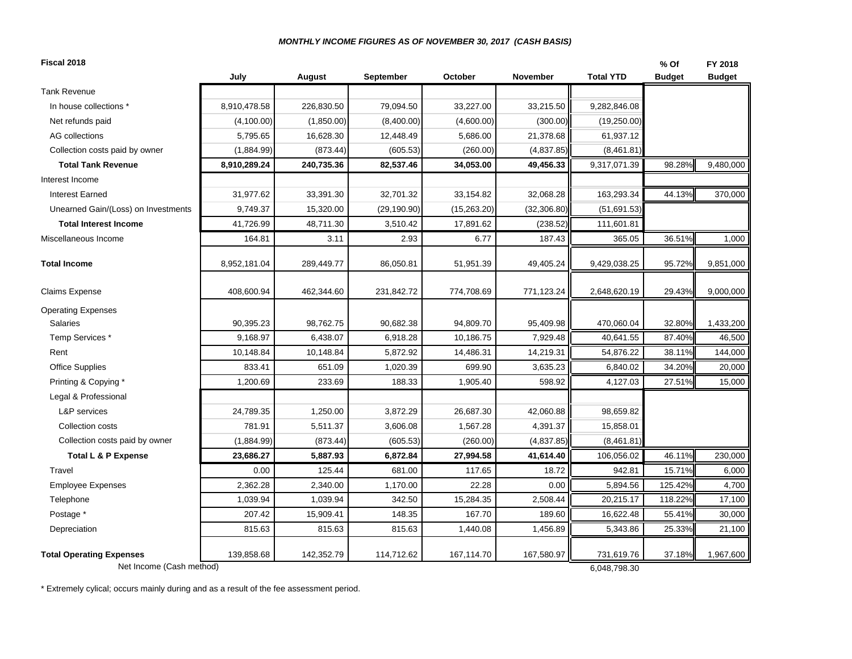#### *MONTHLY INCOME FIGURES AS OF NOVEMBER 30, 2017 (CASH BASIS)*

| Fiscal 2018                                                 |              |            |              |             |              |                            | % Of          | FY 2018       |
|-------------------------------------------------------------|--------------|------------|--------------|-------------|--------------|----------------------------|---------------|---------------|
|                                                             | July         | August     | September    | October     | November     | <b>Total YTD</b>           | <b>Budget</b> | <b>Budget</b> |
| <b>Tank Revenue</b>                                         |              |            |              |             |              |                            |               |               |
| In house collections *                                      | 8,910,478.58 | 226,830.50 | 79,094.50    | 33,227.00   | 33,215.50    | 9,282,846.08               |               |               |
| Net refunds paid                                            | (4,100.00)   | (1,850.00) | (8,400.00)   | (4,600.00)  | (300.00)     | (19,250.00)                |               |               |
| <b>AG</b> collections                                       | 5,795.65     | 16,628.30  | 12,448.49    | 5,686.00    | 21,378.68    | 61,937.12                  |               |               |
| Collection costs paid by owner                              | (1,884.99)   | (873.44)   | (605.53)     | (260.00)    | (4,837.85)   | (8,461.81)                 |               |               |
| <b>Total Tank Revenue</b>                                   | 8,910,289.24 | 240,735.36 | 82,537.46    | 34,053.00   | 49,456.33    | 9,317,071.39               | 98.28%        | 9,480,000     |
| Interest Income                                             |              |            |              |             |              |                            |               |               |
| <b>Interest Earned</b>                                      | 31,977.62    | 33,391.30  | 32,701.32    | 33,154.82   | 32,068.28    | 163,293.34                 | 44.13%        | 370,000       |
| Unearned Gain/(Loss) on Investments                         | 9,749.37     | 15,320.00  | (29, 190.90) | (15,263.20) | (32, 306.80) | (51,691.53)                |               |               |
| <b>Total Interest Income</b>                                | 41,726.99    | 48,711.30  | 3,510.42     | 17,891.62   | (238.52)     | 111,601.81                 |               |               |
| Miscellaneous Income                                        | 164.81       | 3.11       | 2.93         | 6.77        | 187.43       | 365.05                     | 36.51%        | 1,000         |
| <b>Total Income</b>                                         | 8,952,181.04 | 289,449.77 | 86,050.81    | 51,951.39   | 49,405.24    | 9,429,038.25               | 95.72%        | 9,851,000     |
| <b>Claims Expense</b>                                       | 408,600.94   | 462,344.60 | 231,842.72   | 774,708.69  | 771,123.24   | 2,648,620.19               | 29.43%        | 9,000,000     |
| <b>Operating Expenses</b>                                   |              |            |              |             |              |                            |               |               |
| <b>Salaries</b>                                             | 90,395.23    | 98,762.75  | 90,682.38    | 94,809.70   | 95,409.98    | 470,060.04                 | 32.80%        | 1,433,200     |
| Temp Services *                                             | 9,168.97     | 6,438.07   | 6,918.28     | 10,186.75   | 7,929.48     | 40,641.55                  | 87.40%        | 46,500        |
| Rent                                                        | 10,148.84    | 10,148.84  | 5,872.92     | 14,486.31   | 14,219.31    | 54,876.22                  | 38.11%        | 144,000       |
| <b>Office Supplies</b>                                      | 833.41       | 651.09     | 1,020.39     | 699.90      | 3,635.23     | 6,840.02                   | 34.20%        | 20,000        |
| Printing & Copying *                                        | 1,200.69     | 233.69     | 188.33       | 1,905.40    | 598.92       | 4,127.03                   | 27.51%        | 15,000        |
| Legal & Professional                                        |              |            |              |             |              |                            |               |               |
| <b>L&amp;P</b> services                                     | 24,789.35    | 1,250.00   | 3,872.29     | 26,687.30   | 42,060.88    | 98,659.82                  |               |               |
| Collection costs                                            | 781.91       | 5,511.37   | 3,606.08     | 1,567.28    | 4,391.37     | 15,858.01                  |               |               |
| Collection costs paid by owner                              | (1,884.99)   | (873.44)   | (605.53)     | (260.00)    | (4,837.85)   | (8,461.81)                 |               |               |
| Total L & P Expense                                         | 23,686.27    | 5,887.93   | 6,872.84     | 27,994.58   | 41,614.40    | 106,056.02                 | 46.11%        | 230,000       |
| Travel                                                      | 0.00         | 125.44     | 681.00       | 117.65      | 18.72        | 942.81                     | 15.71%        | 6,000         |
| <b>Employee Expenses</b>                                    | 2,362.28     | 2,340.00   | 1,170.00     | 22.28       | 0.00         | 5,894.56                   | 125.42%       | 4,700         |
| Telephone                                                   | 1,039.94     | 1,039.94   | 342.50       | 15,284.35   | 2,508.44     | 20,215.17                  | 118.22%       | 17,100        |
| Postage *                                                   | 207.42       | 15,909.41  | 148.35       | 167.70      | 189.60       | 16,622.48                  | 55.41%        | 30,000        |
| Depreciation                                                | 815.63       | 815.63     | 815.63       | 1,440.08    | 1,456.89     | 5,343.86                   | 25.33%        | 21,100        |
| <b>Total Operating Expenses</b><br>Net Income (Cash method) | 139,858.68   | 142,352.79 | 114,712.62   | 167,114.70  | 167,580.97   | 731,619.76<br>6,048,798.30 | 37.18%        | 1,967,600     |

\* Extremely cylical; occurs mainly during and as a result of the fee assessment period.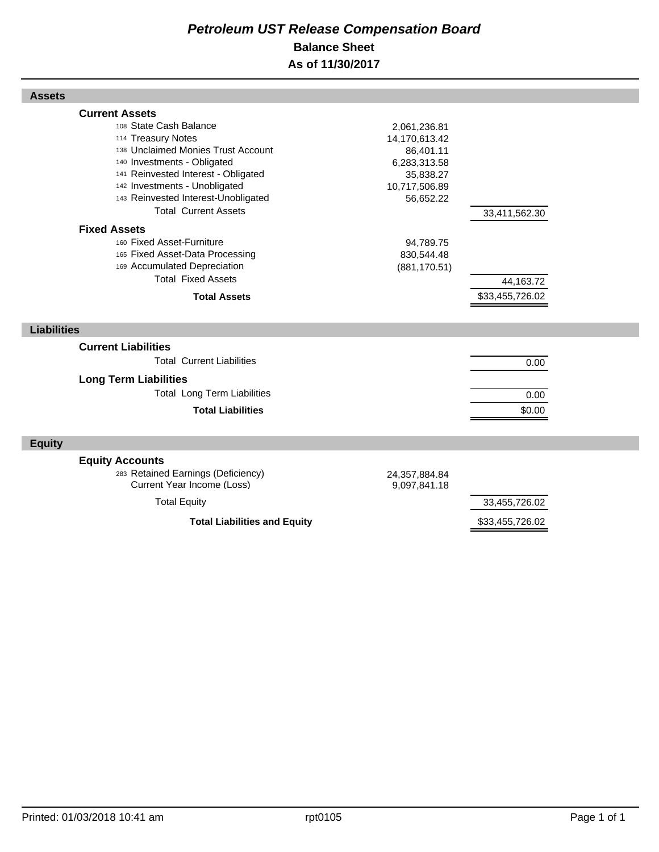## *Petroleum UST Release Compensation Board*  **Balance Sheet As of 11/30/2017**

| <b>Assets</b>                                                                                                                                                                                                                                                                            |                                                                                                       |                              |  |
|------------------------------------------------------------------------------------------------------------------------------------------------------------------------------------------------------------------------------------------------------------------------------------------|-------------------------------------------------------------------------------------------------------|------------------------------|--|
| <b>Current Assets</b><br>108 State Cash Balance<br>114 Treasury Notes<br>138 Unclaimed Monies Trust Account<br>140 Investments - Obligated<br>141 Reinvested Interest - Obligated<br>142 Investments - Unobligated<br>143 Reinvested Interest-Unobligated<br><b>Total Current Assets</b> | 2,061,236.81<br>14,170,613.42<br>86,401.11<br>6,283,313.58<br>35,838.27<br>10,717,506.89<br>56,652.22 | 33,411,562.30                |  |
| <b>Fixed Assets</b><br>160 Fixed Asset-Furniture<br>165 Fixed Asset-Data Processing<br>169 Accumulated Depreciation<br><b>Total Fixed Assets</b><br><b>Total Assets</b>                                                                                                                  | 94,789.75<br>830,544.48<br>(881, 170.51)                                                              | 44,163.72<br>\$33,455,726.02 |  |
| <b>Liabilities</b>                                                                                                                                                                                                                                                                       |                                                                                                       |                              |  |
| <b>Current Liabilities</b><br><b>Total Current Liabilities</b><br><b>Long Term Liabilities</b><br><b>Total Long Term Liabilities</b><br><b>Total Liabilities</b>                                                                                                                         |                                                                                                       | 0.00<br>0.00<br>\$0.00       |  |
| <b>Equity</b>                                                                                                                                                                                                                                                                            |                                                                                                       |                              |  |
| <b>Equity Accounts</b><br>283 Retained Earnings (Deficiency)<br>Current Year Income (Loss)<br><b>Total Equity</b>                                                                                                                                                                        | 24,357,884.84<br>9,097,841.18                                                                         | 33,455,726.02                |  |
| <b>Total Liabilities and Equity</b>                                                                                                                                                                                                                                                      |                                                                                                       | \$33,455,726.02              |  |

Г

Г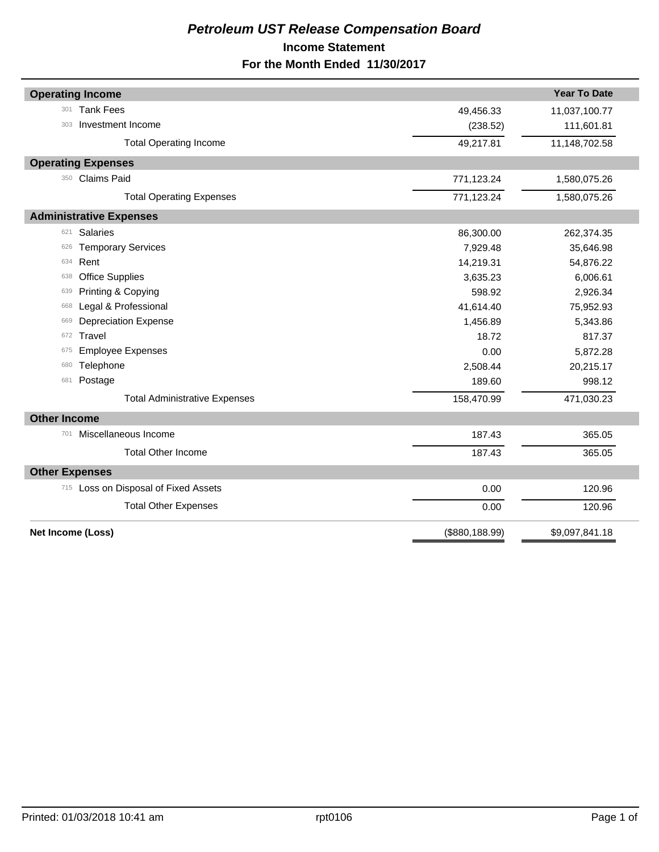## *Petroleum UST Release Compensation Board*  **Income Statement For the Month Ended 11/30/2017**

| <b>Operating Income</b>              |                 | <b>Year To Date</b> |
|--------------------------------------|-----------------|---------------------|
| <b>Tank Fees</b><br>301              | 49,456.33       | 11,037,100.77       |
| Investment Income<br>303             | (238.52)        | 111,601.81          |
| <b>Total Operating Income</b>        | 49,217.81       | 11,148,702.58       |
| <b>Operating Expenses</b>            |                 |                     |
| 350 Claims Paid                      | 771,123.24      | 1,580,075.26        |
| <b>Total Operating Expenses</b>      | 771,123.24      | 1,580,075.26        |
| <b>Administrative Expenses</b>       |                 |                     |
| <b>Salaries</b><br>621               | 86,300.00       | 262,374.35          |
| <b>Temporary Services</b><br>626     | 7,929.48        | 35,646.98           |
| Rent<br>634                          | 14,219.31       | 54,876.22           |
| <b>Office Supplies</b><br>638        | 3,635.23        | 6,006.61            |
| Printing & Copying<br>639            | 598.92          | 2,926.34            |
| Legal & Professional<br>668          | 41,614.40       | 75,952.93           |
| <b>Depreciation Expense</b><br>669   | 1,456.89        | 5,343.86            |
| Travel<br>672                        | 18.72           | 817.37              |
| <b>Employee Expenses</b><br>675      | 0.00            | 5,872.28            |
| Telephone<br>680                     | 2,508.44        | 20,215.17           |
| Postage<br>681                       | 189.60          | 998.12              |
| <b>Total Administrative Expenses</b> | 158,470.99      | 471,030.23          |
| <b>Other Income</b>                  |                 |                     |
| Miscellaneous Income<br>701          | 187.43          | 365.05              |
| <b>Total Other Income</b>            | 187.43          | 365.05              |
| <b>Other Expenses</b>                |                 |                     |
| 715 Loss on Disposal of Fixed Assets | 0.00            | 120.96              |
| <b>Total Other Expenses</b>          | 0.00            | 120.96              |
| Net Income (Loss)                    | (\$880, 188.99) | \$9,097,841.18      |
|                                      |                 |                     |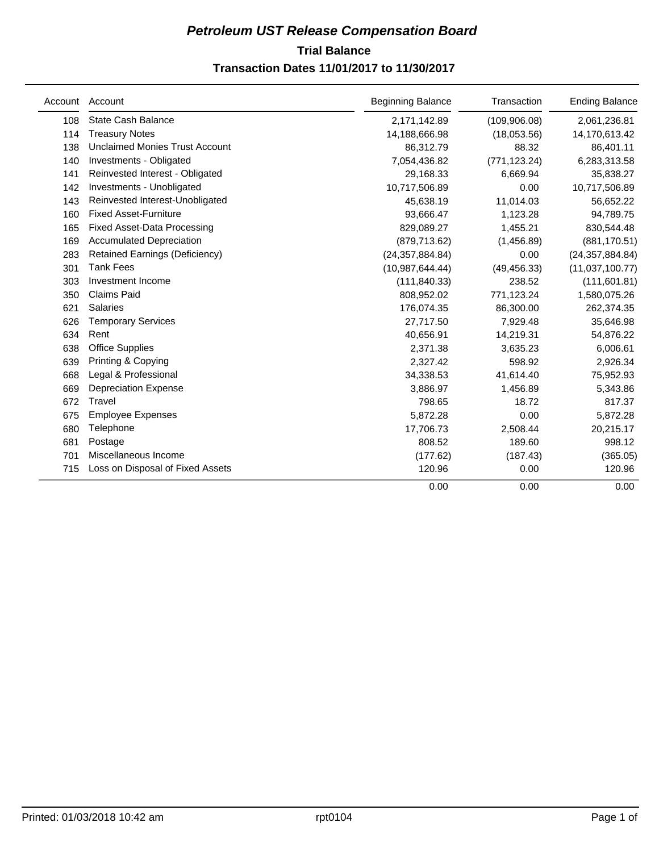## **Trial Balance** *Petroleum UST Release Compensation Board*  **Transaction Dates 11/01/2017 to 11/30/2017**

| Account | Account                               | <b>Beginning Balance</b> | Transaction   | <b>Ending Balance</b> |
|---------|---------------------------------------|--------------------------|---------------|-----------------------|
| 108     | <b>State Cash Balance</b>             | 2,171,142.89             | (109, 906.08) | 2,061,236.81          |
| 114     | <b>Treasury Notes</b>                 | 14,188,666.98            | (18,053.56)   | 14,170,613.42         |
| 138     | <b>Unclaimed Monies Trust Account</b> | 86,312.79                | 88.32         | 86,401.11             |
| 140     | Investments - Obligated               | 7,054,436.82             | (771, 123.24) | 6,283,313.58          |
| 141     | Reinvested Interest - Obligated       | 29,168.33                | 6,669.94      | 35,838.27             |
| 142     | Investments - Unobligated             | 10,717,506.89            | 0.00          | 10,717,506.89         |
| 143     | Reinvested Interest-Unobligated       | 45,638.19                | 11,014.03     | 56,652.22             |
| 160     | <b>Fixed Asset-Furniture</b>          | 93,666.47                | 1,123.28      | 94,789.75             |
| 165     | <b>Fixed Asset-Data Processing</b>    | 829,089.27               | 1,455.21      | 830,544.48            |
| 169     | <b>Accumulated Depreciation</b>       | (879, 713.62)            | (1,456.89)    | (881, 170.51)         |
| 283     | <b>Retained Earnings (Deficiency)</b> | (24, 357, 884.84)        | 0.00          | (24, 357, 884.84)     |
| 301     | <b>Tank Fees</b>                      | (10,987,644.44)          | (49, 456.33)  | (11,037,100.77)       |
| 303     | Investment Income                     | (111, 840.33)            | 238.52        | (111, 601.81)         |
| 350     | Claims Paid                           | 808,952.02               | 771,123.24    | 1,580,075.26          |
| 621     | <b>Salaries</b>                       | 176,074.35               | 86,300.00     | 262,374.35            |
| 626     | <b>Temporary Services</b>             | 27,717.50                | 7,929.48      | 35,646.98             |
| 634     | Rent                                  | 40,656.91                | 14,219.31     | 54,876.22             |
| 638     | <b>Office Supplies</b>                | 2,371.38                 | 3,635.23      | 6,006.61              |
| 639     | Printing & Copying                    | 2,327.42                 | 598.92        | 2,926.34              |
| 668     | Legal & Professional                  | 34,338.53                | 41,614.40     | 75,952.93             |
| 669     | <b>Depreciation Expense</b>           | 3,886.97                 | 1,456.89      | 5,343.86              |
| 672     | Travel                                | 798.65                   | 18.72         | 817.37                |
| 675     | <b>Employee Expenses</b>              | 5,872.28                 | 0.00          | 5,872.28              |
| 680     | Telephone                             | 17,706.73                | 2,508.44      | 20,215.17             |
| 681     | Postage                               | 808.52                   | 189.60        | 998.12                |
| 701     | Miscellaneous Income                  | (177.62)                 | (187.43)      | (365.05)              |
| 715     | Loss on Disposal of Fixed Assets      | 120.96                   | 0.00          | 120.96                |
|         |                                       | 0.00                     | 0.00          | 0.00                  |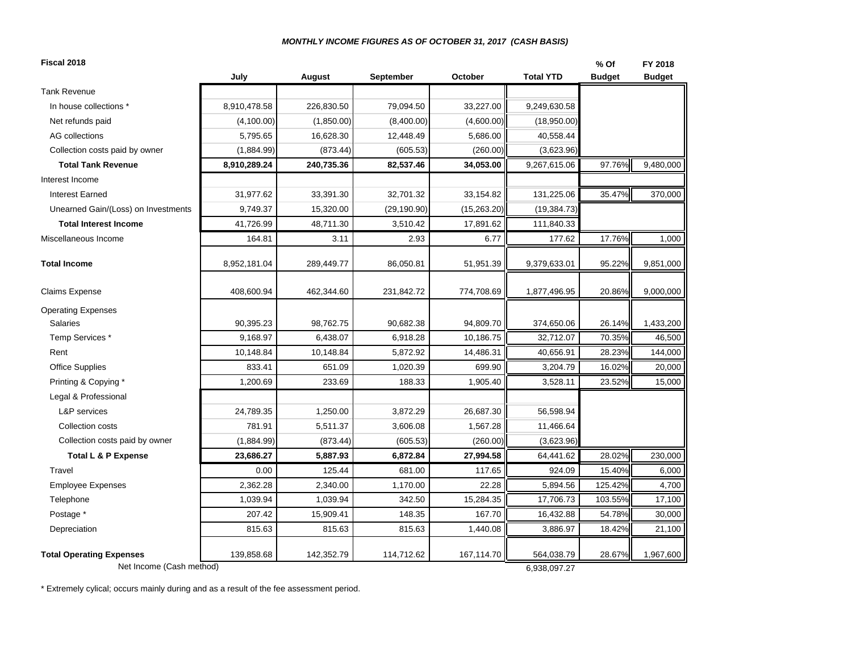#### *MONTHLY INCOME FIGURES AS OF OCTOBER 31, 2017 (CASH BASIS)*

| <b>Total YTD</b><br>July<br>August<br>September<br>October<br><b>Budget</b><br><b>Budget</b><br><b>Tank Revenue</b><br>In house collections *<br>8,910,478.58<br>226,830.50<br>79,094.50<br>33,227.00<br>9,249,630.58<br>(4,100.00)<br>(4,600.00)<br>(18,950.00)<br>Net refunds paid<br>(1,850.00)<br>(8,400.00)<br>AG collections<br>5,795.65<br>16,628.30<br>12,448.49<br>5,686.00<br>40,558.44<br>Collection costs paid by owner<br>(1,884.99)<br>(873.44)<br>(605.53)<br>(3,623.96)<br>(260.00)<br>8,910,289.24<br>240,735.36<br>82,537.46<br>34,053.00<br>9,267,615.06<br>97.76%<br><b>Total Tank Revenue</b><br>Interest Income<br>31,977.62<br>131,225.06<br>35.47%<br>33,391.30<br>32,701.32<br>33,154.82<br><b>Interest Earned</b><br>9,749.37<br>15,320.00<br>(29, 190.90)<br>(15,263.20)<br>(19, 384.73)<br>Unearned Gain/(Loss) on Investments<br>41,726.99<br><b>Total Interest Income</b><br>48,711.30<br>3,510.42<br>17,891.62<br>111,840.33<br>2.93<br>6.77<br>17.76%<br>Miscellaneous Income<br>164.81<br>3.11<br>177.62<br><b>Total Income</b><br>8,952,181.04<br>86,050.81<br>51,951.39<br>9,379,633.01<br>95.22%<br>289,449.77<br>408,600.94<br>231,842.72<br>774,708.69<br>1,877,496.95<br>20.86%<br><b>Claims Expense</b><br>462,344.60<br><b>Operating Expenses</b><br>Salaries<br>90,395.23<br>98,762.75<br>90,682.38<br>94,809.70<br>374,650.06<br>26.14%<br>32,712.07<br>70.35%<br>Temp Services *<br>9,168.97<br>6,438.07<br>6,918.28<br>10,186.75<br>10,148.84<br>10,148.84<br>5,872.92<br>14,486.31<br>28.23%<br>Rent<br>40,656.91<br>833.41<br>699.90<br>16.02%<br>651.09<br>1,020.39<br>3,204.79<br><b>Office Supplies</b><br>1,200.69<br>233.69<br>188.33<br>Printing & Copying *<br>1,905.40<br>3,528.11<br>23.52%<br>Legal & Professional<br>L&P services<br>24,789.35<br>1,250.00<br>3,872.29<br>26,687.30<br>56,598.94<br>781.91<br>5,511.37<br>11,466.64<br>Collection costs<br>3,606.08<br>1,567.28<br>Collection costs paid by owner<br>(1,884.99)<br>(605.53)<br>(260.00)<br>(3,623.96)<br>(873.44)<br>28.02%<br><b>Total L &amp; P Expense</b><br>23,686.27<br>5,887.93<br>6,872.84<br>27,994.58<br>64,441.62<br>0.00<br>125.44<br>681.00<br>117.65<br>924.09<br>15.40%<br>Travel<br>2,362.28<br>2,340.00<br>1,170.00<br>22.28<br>5,894.56<br>125.42%<br><b>Employee Expenses</b><br>103.55%<br>1,039.94<br>342.50<br>17,706.73<br>Telephone<br>1,039.94<br>15,284.35<br>148.35<br>Postage *<br>207.42<br>15,909.41<br>167.70<br>16,432.88<br>54.78%<br>815.63<br>815.63<br>Depreciation<br>815.63<br>1,440.08<br>3,886.97<br>18.42%<br><b>Total Operating Expenses</b><br>139,858.68<br>142,352.79<br>114,712.62<br>167,114.70<br>564,038.79<br>28.67% | Fiscal 2018              |  |  |              | % Of | FY 2018   |
|--------------------------------------------------------------------------------------------------------------------------------------------------------------------------------------------------------------------------------------------------------------------------------------------------------------------------------------------------------------------------------------------------------------------------------------------------------------------------------------------------------------------------------------------------------------------------------------------------------------------------------------------------------------------------------------------------------------------------------------------------------------------------------------------------------------------------------------------------------------------------------------------------------------------------------------------------------------------------------------------------------------------------------------------------------------------------------------------------------------------------------------------------------------------------------------------------------------------------------------------------------------------------------------------------------------------------------------------------------------------------------------------------------------------------------------------------------------------------------------------------------------------------------------------------------------------------------------------------------------------------------------------------------------------------------------------------------------------------------------------------------------------------------------------------------------------------------------------------------------------------------------------------------------------------------------------------------------------------------------------------------------------------------------------------------------------------------------------------------------------------------------------------------------------------------------------------------------------------------------------------------------------------------------------------------------------------------------------------------------------------------------------------------------------------------------------------------------------------------------------------------------------------------------------------------------------------------------------------------------------------------------------------------------------------------------------------|--------------------------|--|--|--------------|------|-----------|
|                                                                                                                                                                                                                                                                                                                                                                                                                                                                                                                                                                                                                                                                                                                                                                                                                                                                                                                                                                                                                                                                                                                                                                                                                                                                                                                                                                                                                                                                                                                                                                                                                                                                                                                                                                                                                                                                                                                                                                                                                                                                                                                                                                                                                                                                                                                                                                                                                                                                                                                                                                                                                                                                                                  |                          |  |  |              |      |           |
|                                                                                                                                                                                                                                                                                                                                                                                                                                                                                                                                                                                                                                                                                                                                                                                                                                                                                                                                                                                                                                                                                                                                                                                                                                                                                                                                                                                                                                                                                                                                                                                                                                                                                                                                                                                                                                                                                                                                                                                                                                                                                                                                                                                                                                                                                                                                                                                                                                                                                                                                                                                                                                                                                                  |                          |  |  |              |      |           |
|                                                                                                                                                                                                                                                                                                                                                                                                                                                                                                                                                                                                                                                                                                                                                                                                                                                                                                                                                                                                                                                                                                                                                                                                                                                                                                                                                                                                                                                                                                                                                                                                                                                                                                                                                                                                                                                                                                                                                                                                                                                                                                                                                                                                                                                                                                                                                                                                                                                                                                                                                                                                                                                                                                  |                          |  |  |              |      |           |
|                                                                                                                                                                                                                                                                                                                                                                                                                                                                                                                                                                                                                                                                                                                                                                                                                                                                                                                                                                                                                                                                                                                                                                                                                                                                                                                                                                                                                                                                                                                                                                                                                                                                                                                                                                                                                                                                                                                                                                                                                                                                                                                                                                                                                                                                                                                                                                                                                                                                                                                                                                                                                                                                                                  |                          |  |  |              |      |           |
|                                                                                                                                                                                                                                                                                                                                                                                                                                                                                                                                                                                                                                                                                                                                                                                                                                                                                                                                                                                                                                                                                                                                                                                                                                                                                                                                                                                                                                                                                                                                                                                                                                                                                                                                                                                                                                                                                                                                                                                                                                                                                                                                                                                                                                                                                                                                                                                                                                                                                                                                                                                                                                                                                                  |                          |  |  |              |      |           |
|                                                                                                                                                                                                                                                                                                                                                                                                                                                                                                                                                                                                                                                                                                                                                                                                                                                                                                                                                                                                                                                                                                                                                                                                                                                                                                                                                                                                                                                                                                                                                                                                                                                                                                                                                                                                                                                                                                                                                                                                                                                                                                                                                                                                                                                                                                                                                                                                                                                                                                                                                                                                                                                                                                  |                          |  |  |              |      |           |
|                                                                                                                                                                                                                                                                                                                                                                                                                                                                                                                                                                                                                                                                                                                                                                                                                                                                                                                                                                                                                                                                                                                                                                                                                                                                                                                                                                                                                                                                                                                                                                                                                                                                                                                                                                                                                                                                                                                                                                                                                                                                                                                                                                                                                                                                                                                                                                                                                                                                                                                                                                                                                                                                                                  |                          |  |  |              |      | 9,480,000 |
|                                                                                                                                                                                                                                                                                                                                                                                                                                                                                                                                                                                                                                                                                                                                                                                                                                                                                                                                                                                                                                                                                                                                                                                                                                                                                                                                                                                                                                                                                                                                                                                                                                                                                                                                                                                                                                                                                                                                                                                                                                                                                                                                                                                                                                                                                                                                                                                                                                                                                                                                                                                                                                                                                                  |                          |  |  |              |      |           |
|                                                                                                                                                                                                                                                                                                                                                                                                                                                                                                                                                                                                                                                                                                                                                                                                                                                                                                                                                                                                                                                                                                                                                                                                                                                                                                                                                                                                                                                                                                                                                                                                                                                                                                                                                                                                                                                                                                                                                                                                                                                                                                                                                                                                                                                                                                                                                                                                                                                                                                                                                                                                                                                                                                  |                          |  |  |              |      | 370,000   |
|                                                                                                                                                                                                                                                                                                                                                                                                                                                                                                                                                                                                                                                                                                                                                                                                                                                                                                                                                                                                                                                                                                                                                                                                                                                                                                                                                                                                                                                                                                                                                                                                                                                                                                                                                                                                                                                                                                                                                                                                                                                                                                                                                                                                                                                                                                                                                                                                                                                                                                                                                                                                                                                                                                  |                          |  |  |              |      |           |
|                                                                                                                                                                                                                                                                                                                                                                                                                                                                                                                                                                                                                                                                                                                                                                                                                                                                                                                                                                                                                                                                                                                                                                                                                                                                                                                                                                                                                                                                                                                                                                                                                                                                                                                                                                                                                                                                                                                                                                                                                                                                                                                                                                                                                                                                                                                                                                                                                                                                                                                                                                                                                                                                                                  |                          |  |  |              |      |           |
|                                                                                                                                                                                                                                                                                                                                                                                                                                                                                                                                                                                                                                                                                                                                                                                                                                                                                                                                                                                                                                                                                                                                                                                                                                                                                                                                                                                                                                                                                                                                                                                                                                                                                                                                                                                                                                                                                                                                                                                                                                                                                                                                                                                                                                                                                                                                                                                                                                                                                                                                                                                                                                                                                                  |                          |  |  |              |      | 1,000     |
|                                                                                                                                                                                                                                                                                                                                                                                                                                                                                                                                                                                                                                                                                                                                                                                                                                                                                                                                                                                                                                                                                                                                                                                                                                                                                                                                                                                                                                                                                                                                                                                                                                                                                                                                                                                                                                                                                                                                                                                                                                                                                                                                                                                                                                                                                                                                                                                                                                                                                                                                                                                                                                                                                                  |                          |  |  |              |      | 9,851,000 |
|                                                                                                                                                                                                                                                                                                                                                                                                                                                                                                                                                                                                                                                                                                                                                                                                                                                                                                                                                                                                                                                                                                                                                                                                                                                                                                                                                                                                                                                                                                                                                                                                                                                                                                                                                                                                                                                                                                                                                                                                                                                                                                                                                                                                                                                                                                                                                                                                                                                                                                                                                                                                                                                                                                  |                          |  |  |              |      | 9,000,000 |
|                                                                                                                                                                                                                                                                                                                                                                                                                                                                                                                                                                                                                                                                                                                                                                                                                                                                                                                                                                                                                                                                                                                                                                                                                                                                                                                                                                                                                                                                                                                                                                                                                                                                                                                                                                                                                                                                                                                                                                                                                                                                                                                                                                                                                                                                                                                                                                                                                                                                                                                                                                                                                                                                                                  |                          |  |  |              |      |           |
|                                                                                                                                                                                                                                                                                                                                                                                                                                                                                                                                                                                                                                                                                                                                                                                                                                                                                                                                                                                                                                                                                                                                                                                                                                                                                                                                                                                                                                                                                                                                                                                                                                                                                                                                                                                                                                                                                                                                                                                                                                                                                                                                                                                                                                                                                                                                                                                                                                                                                                                                                                                                                                                                                                  |                          |  |  |              |      | 1,433,200 |
|                                                                                                                                                                                                                                                                                                                                                                                                                                                                                                                                                                                                                                                                                                                                                                                                                                                                                                                                                                                                                                                                                                                                                                                                                                                                                                                                                                                                                                                                                                                                                                                                                                                                                                                                                                                                                                                                                                                                                                                                                                                                                                                                                                                                                                                                                                                                                                                                                                                                                                                                                                                                                                                                                                  |                          |  |  |              |      | 46,500    |
|                                                                                                                                                                                                                                                                                                                                                                                                                                                                                                                                                                                                                                                                                                                                                                                                                                                                                                                                                                                                                                                                                                                                                                                                                                                                                                                                                                                                                                                                                                                                                                                                                                                                                                                                                                                                                                                                                                                                                                                                                                                                                                                                                                                                                                                                                                                                                                                                                                                                                                                                                                                                                                                                                                  |                          |  |  |              |      | 144,000   |
|                                                                                                                                                                                                                                                                                                                                                                                                                                                                                                                                                                                                                                                                                                                                                                                                                                                                                                                                                                                                                                                                                                                                                                                                                                                                                                                                                                                                                                                                                                                                                                                                                                                                                                                                                                                                                                                                                                                                                                                                                                                                                                                                                                                                                                                                                                                                                                                                                                                                                                                                                                                                                                                                                                  |                          |  |  |              |      | 20,000    |
|                                                                                                                                                                                                                                                                                                                                                                                                                                                                                                                                                                                                                                                                                                                                                                                                                                                                                                                                                                                                                                                                                                                                                                                                                                                                                                                                                                                                                                                                                                                                                                                                                                                                                                                                                                                                                                                                                                                                                                                                                                                                                                                                                                                                                                                                                                                                                                                                                                                                                                                                                                                                                                                                                                  |                          |  |  |              |      | 15,000    |
|                                                                                                                                                                                                                                                                                                                                                                                                                                                                                                                                                                                                                                                                                                                                                                                                                                                                                                                                                                                                                                                                                                                                                                                                                                                                                                                                                                                                                                                                                                                                                                                                                                                                                                                                                                                                                                                                                                                                                                                                                                                                                                                                                                                                                                                                                                                                                                                                                                                                                                                                                                                                                                                                                                  |                          |  |  |              |      |           |
|                                                                                                                                                                                                                                                                                                                                                                                                                                                                                                                                                                                                                                                                                                                                                                                                                                                                                                                                                                                                                                                                                                                                                                                                                                                                                                                                                                                                                                                                                                                                                                                                                                                                                                                                                                                                                                                                                                                                                                                                                                                                                                                                                                                                                                                                                                                                                                                                                                                                                                                                                                                                                                                                                                  |                          |  |  |              |      |           |
|                                                                                                                                                                                                                                                                                                                                                                                                                                                                                                                                                                                                                                                                                                                                                                                                                                                                                                                                                                                                                                                                                                                                                                                                                                                                                                                                                                                                                                                                                                                                                                                                                                                                                                                                                                                                                                                                                                                                                                                                                                                                                                                                                                                                                                                                                                                                                                                                                                                                                                                                                                                                                                                                                                  |                          |  |  |              |      |           |
|                                                                                                                                                                                                                                                                                                                                                                                                                                                                                                                                                                                                                                                                                                                                                                                                                                                                                                                                                                                                                                                                                                                                                                                                                                                                                                                                                                                                                                                                                                                                                                                                                                                                                                                                                                                                                                                                                                                                                                                                                                                                                                                                                                                                                                                                                                                                                                                                                                                                                                                                                                                                                                                                                                  |                          |  |  |              |      |           |
|                                                                                                                                                                                                                                                                                                                                                                                                                                                                                                                                                                                                                                                                                                                                                                                                                                                                                                                                                                                                                                                                                                                                                                                                                                                                                                                                                                                                                                                                                                                                                                                                                                                                                                                                                                                                                                                                                                                                                                                                                                                                                                                                                                                                                                                                                                                                                                                                                                                                                                                                                                                                                                                                                                  |                          |  |  |              |      | 230,000   |
|                                                                                                                                                                                                                                                                                                                                                                                                                                                                                                                                                                                                                                                                                                                                                                                                                                                                                                                                                                                                                                                                                                                                                                                                                                                                                                                                                                                                                                                                                                                                                                                                                                                                                                                                                                                                                                                                                                                                                                                                                                                                                                                                                                                                                                                                                                                                                                                                                                                                                                                                                                                                                                                                                                  |                          |  |  |              |      | 6,000     |
|                                                                                                                                                                                                                                                                                                                                                                                                                                                                                                                                                                                                                                                                                                                                                                                                                                                                                                                                                                                                                                                                                                                                                                                                                                                                                                                                                                                                                                                                                                                                                                                                                                                                                                                                                                                                                                                                                                                                                                                                                                                                                                                                                                                                                                                                                                                                                                                                                                                                                                                                                                                                                                                                                                  |                          |  |  |              |      | 4,700     |
|                                                                                                                                                                                                                                                                                                                                                                                                                                                                                                                                                                                                                                                                                                                                                                                                                                                                                                                                                                                                                                                                                                                                                                                                                                                                                                                                                                                                                                                                                                                                                                                                                                                                                                                                                                                                                                                                                                                                                                                                                                                                                                                                                                                                                                                                                                                                                                                                                                                                                                                                                                                                                                                                                                  |                          |  |  |              |      | 17,100    |
|                                                                                                                                                                                                                                                                                                                                                                                                                                                                                                                                                                                                                                                                                                                                                                                                                                                                                                                                                                                                                                                                                                                                                                                                                                                                                                                                                                                                                                                                                                                                                                                                                                                                                                                                                                                                                                                                                                                                                                                                                                                                                                                                                                                                                                                                                                                                                                                                                                                                                                                                                                                                                                                                                                  |                          |  |  |              |      | 30,000    |
|                                                                                                                                                                                                                                                                                                                                                                                                                                                                                                                                                                                                                                                                                                                                                                                                                                                                                                                                                                                                                                                                                                                                                                                                                                                                                                                                                                                                                                                                                                                                                                                                                                                                                                                                                                                                                                                                                                                                                                                                                                                                                                                                                                                                                                                                                                                                                                                                                                                                                                                                                                                                                                                                                                  |                          |  |  |              |      | 21,100    |
|                                                                                                                                                                                                                                                                                                                                                                                                                                                                                                                                                                                                                                                                                                                                                                                                                                                                                                                                                                                                                                                                                                                                                                                                                                                                                                                                                                                                                                                                                                                                                                                                                                                                                                                                                                                                                                                                                                                                                                                                                                                                                                                                                                                                                                                                                                                                                                                                                                                                                                                                                                                                                                                                                                  | Net Income (Cash method) |  |  | 6,938,097.27 |      | 1,967,600 |

\* Extremely cylical; occurs mainly during and as a result of the fee assessment period.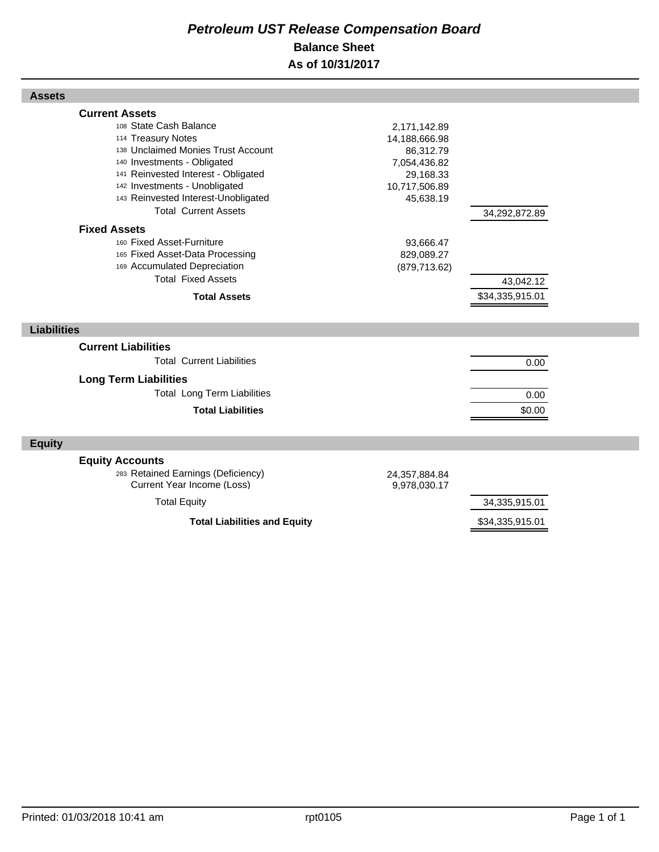## *Petroleum UST Release Compensation Board*  **Balance Sheet As of 10/31/2017**

| <b>Assets</b>                                                                                                                                                                                                                                                                                                                                                                                                                                                       |                                                                                                                                                   |                                               |  |
|---------------------------------------------------------------------------------------------------------------------------------------------------------------------------------------------------------------------------------------------------------------------------------------------------------------------------------------------------------------------------------------------------------------------------------------------------------------------|---------------------------------------------------------------------------------------------------------------------------------------------------|-----------------------------------------------|--|
| <b>Current Assets</b><br>108 State Cash Balance<br>114 Treasury Notes<br>138 Unclaimed Monies Trust Account<br>140 Investments - Obligated<br>141 Reinvested Interest - Obligated<br>142 Investments - Unobligated<br>143 Reinvested Interest-Unobligated<br><b>Total Current Assets</b><br><b>Fixed Assets</b><br>160 Fixed Asset-Furniture<br>165 Fixed Asset-Data Processing<br>169 Accumulated Depreciation<br><b>Total Fixed Assets</b><br><b>Total Assets</b> | 2,171,142.89<br>14,188,666.98<br>86,312.79<br>7,054,436.82<br>29,168.33<br>10,717,506.89<br>45,638.19<br>93,666.47<br>829,089.27<br>(879, 713.62) | 34,292,872.89<br>43,042.12<br>\$34,335,915.01 |  |
| <b>Liabilities</b>                                                                                                                                                                                                                                                                                                                                                                                                                                                  |                                                                                                                                                   |                                               |  |
|                                                                                                                                                                                                                                                                                                                                                                                                                                                                     |                                                                                                                                                   |                                               |  |
| <b>Current Liabilities</b>                                                                                                                                                                                                                                                                                                                                                                                                                                          |                                                                                                                                                   |                                               |  |
| <b>Total Current Liabilities</b>                                                                                                                                                                                                                                                                                                                                                                                                                                    |                                                                                                                                                   | 0.00                                          |  |
| <b>Long Term Liabilities</b>                                                                                                                                                                                                                                                                                                                                                                                                                                        |                                                                                                                                                   |                                               |  |
| <b>Total Long Term Liabilities</b>                                                                                                                                                                                                                                                                                                                                                                                                                                  |                                                                                                                                                   | 0.00                                          |  |
| <b>Total Liabilities</b>                                                                                                                                                                                                                                                                                                                                                                                                                                            |                                                                                                                                                   | \$0.00                                        |  |
| <b>Equity</b>                                                                                                                                                                                                                                                                                                                                                                                                                                                       |                                                                                                                                                   |                                               |  |
| <b>Equity Accounts</b>                                                                                                                                                                                                                                                                                                                                                                                                                                              |                                                                                                                                                   |                                               |  |
| 283 Retained Earnings (Deficiency)<br>Current Year Income (Loss)                                                                                                                                                                                                                                                                                                                                                                                                    | 24,357,884.84<br>9,978,030.17                                                                                                                     |                                               |  |
| <b>Total Equity</b>                                                                                                                                                                                                                                                                                                                                                                                                                                                 |                                                                                                                                                   | 34,335,915.01                                 |  |
| <b>Total Liabilities and Equity</b>                                                                                                                                                                                                                                                                                                                                                                                                                                 |                                                                                                                                                   | \$34,335,915.01                               |  |

Г

Г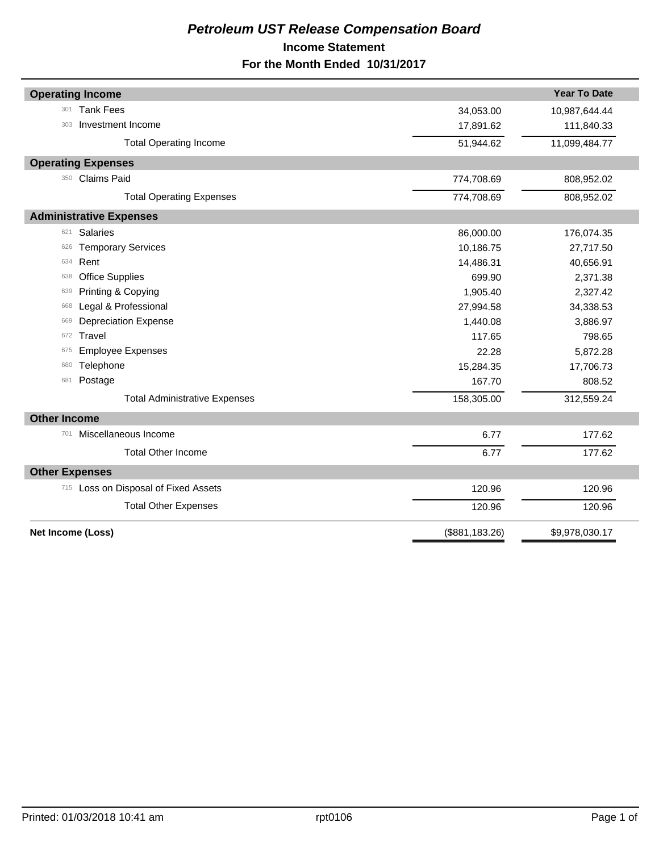## *Petroleum UST Release Compensation Board*  **Income Statement For the Month Ended 10/31/2017**

| <b>Operating Income</b>              |                | <b>Year To Date</b> |
|--------------------------------------|----------------|---------------------|
| <b>Tank Fees</b><br>301              | 34,053.00      | 10,987,644.44       |
| Investment Income<br>303             | 17,891.62      | 111,840.33          |
| <b>Total Operating Income</b>        | 51,944.62      | 11,099,484.77       |
| <b>Operating Expenses</b>            |                |                     |
| 350 Claims Paid                      | 774,708.69     | 808,952.02          |
| <b>Total Operating Expenses</b>      | 774,708.69     | 808,952.02          |
| <b>Administrative Expenses</b>       |                |                     |
| <b>Salaries</b><br>621               | 86,000.00      | 176,074.35          |
| <b>Temporary Services</b><br>626     | 10,186.75      | 27,717.50           |
| Rent<br>634                          | 14,486.31      | 40,656.91           |
| <b>Office Supplies</b><br>638        | 699.90         | 2,371.38            |
| Printing & Copying<br>639            | 1,905.40       | 2,327.42            |
| Legal & Professional<br>668          | 27,994.58      | 34,338.53           |
| <b>Depreciation Expense</b><br>669   | 1,440.08       | 3,886.97            |
| Travel<br>672                        | 117.65         | 798.65              |
| <b>Employee Expenses</b><br>675      | 22.28          | 5,872.28            |
| Telephone<br>680                     | 15,284.35      | 17,706.73           |
| Postage<br>681                       | 167.70         | 808.52              |
| <b>Total Administrative Expenses</b> | 158,305.00     | 312,559.24          |
| <b>Other Income</b>                  |                |                     |
| Miscellaneous Income<br>701          | 6.77           | 177.62              |
| <b>Total Other Income</b>            | 6.77           | 177.62              |
| <b>Other Expenses</b>                |                |                     |
| 715 Loss on Disposal of Fixed Assets | 120.96         | 120.96              |
| <b>Total Other Expenses</b>          | 120.96         | 120.96              |
| Net Income (Loss)                    | (\$881,183.26) | \$9,978,030.17      |
|                                      |                |                     |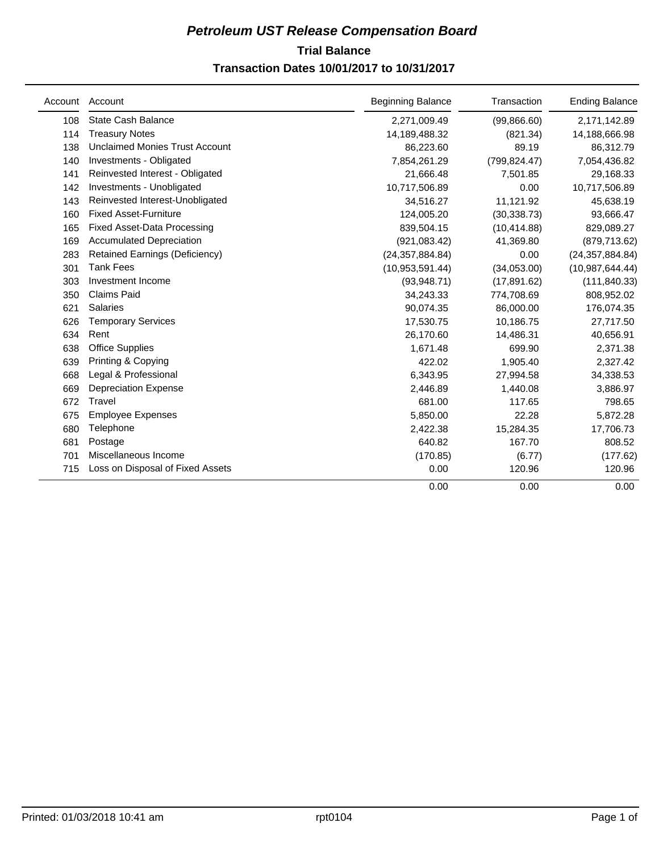## **Trial Balance** *Petroleum UST Release Compensation Board*  **Transaction Dates 10/01/2017 to 10/31/2017**

| Account | Account                               | <b>Beginning Balance</b> | Transaction   | <b>Ending Balance</b> |
|---------|---------------------------------------|--------------------------|---------------|-----------------------|
| 108     | <b>State Cash Balance</b>             | 2,271,009.49             | (99,866.60)   | 2,171,142.89          |
| 114     | <b>Treasury Notes</b>                 | 14,189,488.32            | (821.34)      | 14,188,666.98         |
| 138     | <b>Unclaimed Monies Trust Account</b> | 86,223.60                | 89.19         | 86,312.79             |
| 140     | Investments - Obligated               | 7,854,261.29             | (799, 824.47) | 7,054,436.82          |
| 141     | Reinvested Interest - Obligated       | 21,666.48                | 7,501.85      | 29,168.33             |
| 142     | Investments - Unobligated             | 10,717,506.89            | 0.00          | 10,717,506.89         |
| 143     | Reinvested Interest-Unobligated       | 34,516.27                | 11,121.92     | 45,638.19             |
| 160     | <b>Fixed Asset-Furniture</b>          | 124,005.20               | (30, 338.73)  | 93,666.47             |
| 165     | <b>Fixed Asset-Data Processing</b>    | 839,504.15               | (10, 414.88)  | 829,089.27            |
| 169     | <b>Accumulated Depreciation</b>       | (921, 083.42)            | 41,369.80     | (879, 713.62)         |
| 283     | Retained Earnings (Deficiency)        | (24, 357, 884.84)        | 0.00          | (24, 357, 884.84)     |
| 301     | <b>Tank Fees</b>                      | (10,953,591.44)          | (34,053.00)   | (10, 987, 644.44)     |
| 303     | Investment Income                     | (93,948.71)              | (17, 891.62)  | (111, 840.33)         |
| 350     | <b>Claims Paid</b>                    | 34,243.33                | 774,708.69    | 808,952.02            |
| 621     | <b>Salaries</b>                       | 90,074.35                | 86,000.00     | 176,074.35            |
| 626     | <b>Temporary Services</b>             | 17,530.75                | 10,186.75     | 27,717.50             |
| 634     | Rent                                  | 26,170.60                | 14,486.31     | 40,656.91             |
| 638     | <b>Office Supplies</b>                | 1,671.48                 | 699.90        | 2,371.38              |
| 639     | Printing & Copying                    | 422.02                   | 1,905.40      | 2,327.42              |
| 668     | Legal & Professional                  | 6,343.95                 | 27,994.58     | 34,338.53             |
| 669     | <b>Depreciation Expense</b>           | 2,446.89                 | 1,440.08      | 3,886.97              |
| 672     | Travel                                | 681.00                   | 117.65        | 798.65                |
| 675     | <b>Employee Expenses</b>              | 5,850.00                 | 22.28         | 5,872.28              |
| 680     | Telephone                             | 2,422.38                 | 15,284.35     | 17,706.73             |
| 681     | Postage                               | 640.82                   | 167.70        | 808.52                |
| 701     | Miscellaneous Income                  | (170.85)                 | (6.77)        | (177.62)              |
| 715     | Loss on Disposal of Fixed Assets      | 0.00                     | 120.96        | 120.96                |
|         |                                       | 0.00                     | 0.00          | 0.00                  |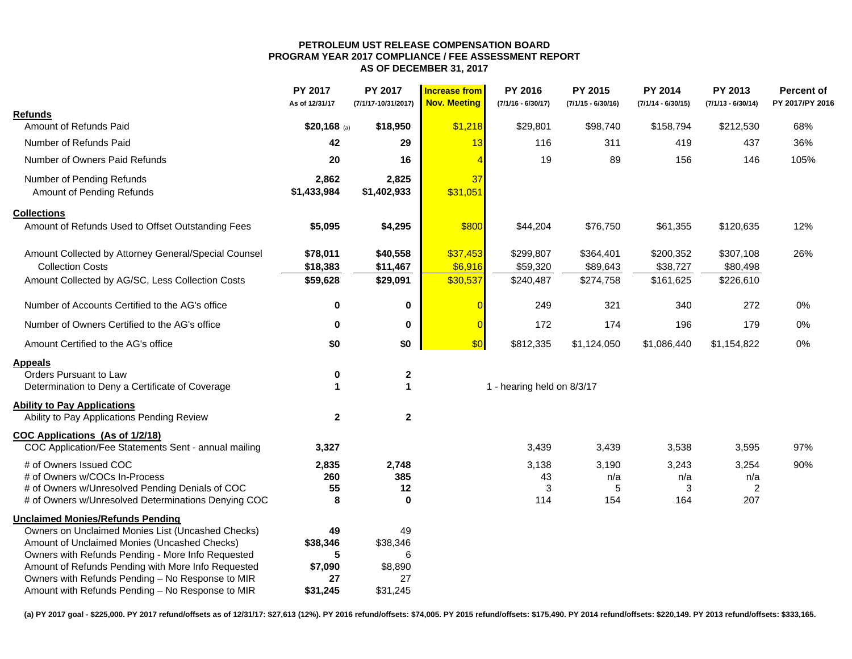#### **PETROLEUM UST RELEASE COMPENSATION BOARD PROGRAM YEAR 2017 COMPLIANCE / FEE ASSESSMENT REPORT AS OF DECEMBER 31, 2017**

|                                                      | PY 2017<br>As of 12/31/17 | PY 2017<br>(7/1/17-10/31/2017) | <b>Increase from</b><br><b>Nov. Meeting</b> | PY 2016<br>$(7/1/16 - 6/30/17)$ | PY 2015<br>$(7/1/15 - 6/30/16)$ | <b>PY 2014</b><br>$(7/1/14 - 6/30/15)$ | PY 2013<br>$(7/1/13 - 6/30/14)$ | Percent of<br>PY 2017/PY 2016 |
|------------------------------------------------------|---------------------------|--------------------------------|---------------------------------------------|---------------------------------|---------------------------------|----------------------------------------|---------------------------------|-------------------------------|
| <b>Refunds</b>                                       |                           |                                |                                             |                                 |                                 |                                        |                                 |                               |
| Amount of Refunds Paid                               | $$20,168$ (a)             | \$18,950                       | \$1,218                                     | \$29,801                        | \$98,740                        | \$158,794                              | \$212,530                       | 68%                           |
| Number of Refunds Paid                               | 42                        | 29                             | 13                                          | 116                             | 311                             | 419                                    | 437                             | 36%                           |
| Number of Owners Paid Refunds                        | 20                        | 16                             | $\overline{\mathcal{A}}$                    | 19                              | 89                              | 156                                    | 146                             | 105%                          |
| Number of Pending Refunds                            | 2,862                     | 2,825                          | 37                                          |                                 |                                 |                                        |                                 |                               |
| Amount of Pending Refunds                            | \$1,433,984               | \$1,402,933                    | \$31,051                                    |                                 |                                 |                                        |                                 |                               |
| <b>Collections</b>                                   |                           |                                |                                             |                                 |                                 |                                        |                                 |                               |
| Amount of Refunds Used to Offset Outstanding Fees    | \$5,095                   | \$4,295                        | \$800                                       | \$44,204                        | \$76,750                        | \$61,355                               | \$120,635                       | 12%                           |
| Amount Collected by Attorney General/Special Counsel | \$78,011                  | \$40,558                       | \$37,453                                    | \$299,807                       | \$364,401                       | \$200,352                              | \$307,108                       | 26%                           |
| <b>Collection Costs</b>                              | \$18,383                  | \$11,467                       | \$6,916                                     | \$59,320                        | \$89,643                        | \$38,727                               | \$80,498                        |                               |
| Amount Collected by AG/SC, Less Collection Costs     | \$59,628                  | \$29,091                       | \$30,537                                    | \$240,487                       | \$274,758                       | \$161,625                              | \$226,610                       |                               |
| Number of Accounts Certified to the AG's office      | $\mathbf 0$               | $\bf{0}$                       | $\sqrt{ }$                                  | 249                             | 321                             | 340                                    | 272                             | 0%                            |
| Number of Owners Certified to the AG's office        | 0                         | $\bf{0}$                       | $\overline{0}$                              | 172                             | 174                             | 196                                    | 179                             | 0%                            |
| Amount Certified to the AG's office                  | \$0                       | \$0                            | \$0                                         | \$812,335                       | \$1,124,050                     | \$1,086,440                            | \$1,154,822                     | $0\%$                         |
| <b>Appeals</b>                                       |                           |                                |                                             |                                 |                                 |                                        |                                 |                               |
| Orders Pursuant to Law                               | $\mathbf 0$               | $\boldsymbol{2}$               |                                             |                                 |                                 |                                        |                                 |                               |
| Determination to Deny a Certificate of Coverage      | $\mathbf{1}$              | $\blacktriangleleft$           |                                             | 1 - hearing held on 8/3/17      |                                 |                                        |                                 |                               |
| <b>Ability to Pay Applications</b>                   |                           |                                |                                             |                                 |                                 |                                        |                                 |                               |
| Ability to Pay Applications Pending Review           | $\mathbf{2}$              | $\mathbf{2}$                   |                                             |                                 |                                 |                                        |                                 |                               |
| <b>COC Applications (As of 1/2/18)</b>               |                           |                                |                                             |                                 |                                 |                                        |                                 |                               |
| COC Application/Fee Statements Sent - annual mailing | 3,327                     |                                |                                             | 3,439                           | 3,439                           | 3,538                                  | 3,595                           | 97%                           |
| # of Owners Issued COC                               | 2,835                     | 2,748                          |                                             | 3,138                           | 3,190                           | 3,243                                  | 3,254                           | 90%                           |
| # of Owners w/COCs In-Process                        | 260                       | 385                            |                                             | 43                              | n/a                             | n/a                                    | n/a                             |                               |
| # of Owners w/Unresolved Pending Denials of COC      | 55                        | 12                             |                                             | 3                               | 5                               | 3                                      | $\overline{2}$                  |                               |
| # of Owners w/Unresolved Determinations Denying COC  | 8                         | $\mathbf 0$                    |                                             | 114                             | 154                             | 164                                    | 207                             |                               |
| <b>Unclaimed Monies/Refunds Pending</b>              |                           |                                |                                             |                                 |                                 |                                        |                                 |                               |
| Owners on Unclaimed Monies List (Uncashed Checks)    | 49                        | 49                             |                                             |                                 |                                 |                                        |                                 |                               |
| Amount of Unclaimed Monies (Uncashed Checks)         | \$38,346                  | \$38,346                       |                                             |                                 |                                 |                                        |                                 |                               |
| Owners with Refunds Pending - More Info Requested    | 5                         | 6                              |                                             |                                 |                                 |                                        |                                 |                               |
| Amount of Refunds Pending with More Info Requested   | \$7,090                   | \$8,890                        |                                             |                                 |                                 |                                        |                                 |                               |
| Owners with Refunds Pending - No Response to MIR     | 27                        | 27                             |                                             |                                 |                                 |                                        |                                 |                               |
| Amount with Refunds Pending - No Response to MIR     | \$31,245                  | \$31,245                       |                                             |                                 |                                 |                                        |                                 |                               |

**(a) PY 2017 goal - \$225,000. PY 2017 refund/offsets as of 12/31/17: \$27,613 (12%). PY 2016 refund/offsets: \$74,005. PY 2015 refund/offsets: \$175,490. PY 2014 refund/offsets: \$220,149. PY 2013 refund/offsets: \$333,165.**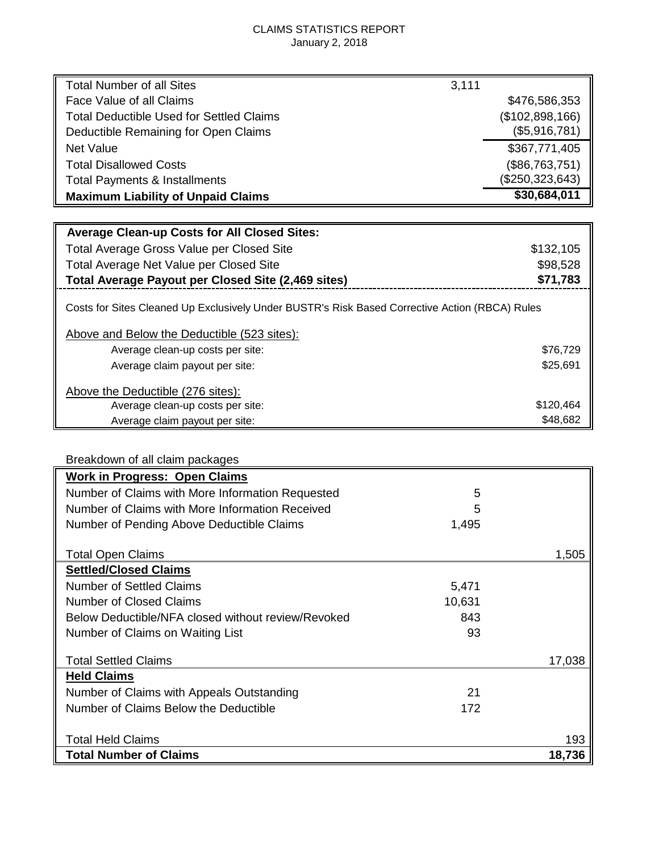## CLAIMS STATISTICS REPORT January 2, 2018

| <b>Total Number of all Sites</b>                                                               | 3,111 |                 |
|------------------------------------------------------------------------------------------------|-------|-----------------|
| Face Value of all Claims                                                                       |       | \$476,586,353   |
| <b>Total Deductible Used for Settled Claims</b>                                                |       | (\$102,898,166) |
| Deductible Remaining for Open Claims                                                           |       | (\$5,916,781)   |
| Net Value                                                                                      |       | \$367,771,405   |
| <b>Total Disallowed Costs</b>                                                                  |       | (\$86,763,751)  |
| <b>Total Payments &amp; Installments</b>                                                       |       | (\$250,323,643) |
| <b>Maximum Liability of Unpaid Claims</b>                                                      |       | \$30,684,011    |
|                                                                                                |       |                 |
| <b>Average Clean-up Costs for All Closed Sites:</b>                                            |       |                 |
| Total Average Gross Value per Closed Site                                                      |       | \$132,105       |
| Total Average Net Value per Closed Site                                                        |       | \$98,528        |
| <b>Total Average Payout per Closed Site (2,469 sites)</b>                                      |       | \$71,783        |
| Costs for Sites Cleaned Up Exclusively Under BUSTR's Risk Based Corrective Action (RBCA) Rules |       |                 |
| Above and Below the Deductible (523 sites):                                                    |       |                 |
| Average clean-up costs per site:                                                               |       | \$76,729        |
| Average claim payout per site:                                                                 |       | \$25,691        |
| Above the Deductible (276 sites):                                                              |       |                 |
| Average clean-up costs per site:                                                               |       | \$120,464       |
| Average claim payout per site:                                                                 |       | \$48,682        |

## Breakdown of all claim packages

| <b>Work in Progress: Open Claims</b>               |        |        |
|----------------------------------------------------|--------|--------|
| Number of Claims with More Information Requested   | 5      |        |
| Number of Claims with More Information Received    | 5      |        |
| Number of Pending Above Deductible Claims          | 1,495  |        |
| <b>Total Open Claims</b>                           |        | 1.505  |
| <b>Settled/Closed Claims</b>                       |        |        |
| <b>Number of Settled Claims</b>                    | 5,471  |        |
| <b>Number of Closed Claims</b>                     | 10,631 |        |
| Below Deductible/NFA closed without review/Revoked | 843    |        |
| Number of Claims on Waiting List                   | 93     |        |
| <b>Total Settled Claims</b>                        |        | 17.038 |
| <b>Held Claims</b>                                 |        |        |
| Number of Claims with Appeals Outstanding          | 21     |        |
| Number of Claims Below the Deductible              | 172    |        |
|                                                    |        |        |
| <b>Total Held Claims</b>                           |        | 193    |
| <b>Total Number of Claims</b>                      |        | 18.736 |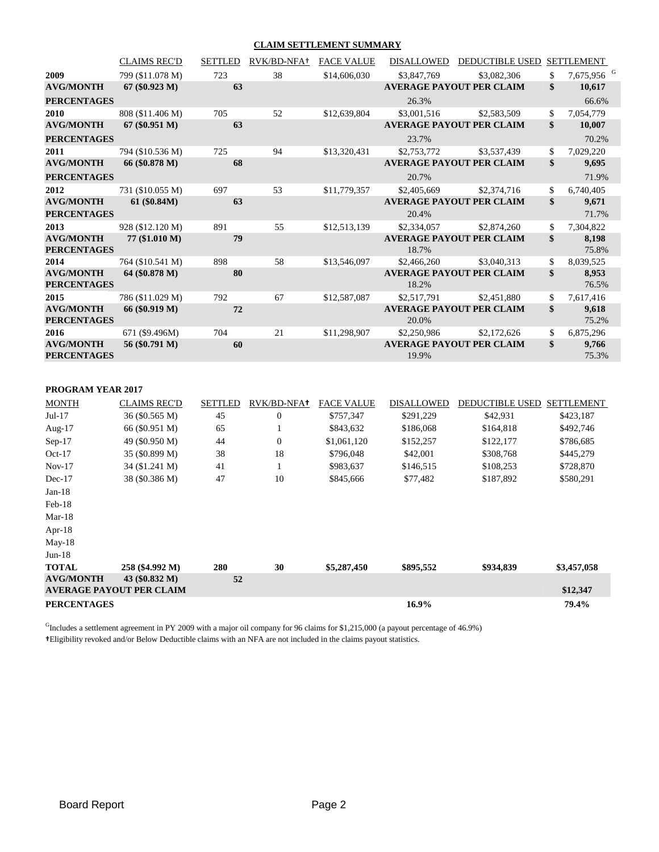#### **CLAIM SETTLEMENT SUMMARY**

|                                        | <b>CLAIMS REC'D</b> | <b>SETTLED</b> | RVK/BD-NFA+    | <b>FACE VALUE</b> | <b>DISALLOWED</b> | <b>DEDUCTIBLE USED</b>          | <b>SETTLEMENT</b>            |  |
|----------------------------------------|---------------------|----------------|----------------|-------------------|-------------------|---------------------------------|------------------------------|--|
| 2009                                   | 799 (\$11.078 M)    | 723            | 38             | \$14,606,030      | \$3,847,769       | \$3,082,306                     | \$<br>7,675,956 <sup>G</sup> |  |
| <b>AVG/MONTH</b>                       | $67 (\$0.923 M)$    | 63             |                |                   |                   | <b>AVERAGE PAYOUT PER CLAIM</b> | \$<br>10,617                 |  |
| <b>PERCENTAGES</b>                     |                     |                |                |                   | 26.3%             |                                 | 66.6%                        |  |
| 2010                                   | 808 (\$11.406 M)    | 705            | 52             | \$12,639,804      | \$3,001,516       | \$2,583,509                     | \$<br>7,054,779              |  |
| <b>AVG/MONTH</b>                       | $67 (\$0.951 M)$    | 63             |                |                   |                   | <b>AVERAGE PAYOUT PER CLAIM</b> | \$<br>10,007                 |  |
| <b>PERCENTAGES</b>                     |                     |                |                |                   | 23.7%             |                                 | 70.2%                        |  |
| 2011                                   | 794 (\$10.536 M)    | 725            | 94             | \$13,320,431      | \$2,753,772       | \$3,537,439                     | \$<br>7,029,220              |  |
| <b>AVG/MONTH</b>                       | 66 (\$0.878 M)      | 68             |                |                   |                   | <b>AVERAGE PAYOUT PER CLAIM</b> | \$<br>9,695                  |  |
| <b>PERCENTAGES</b>                     |                     |                |                |                   | 20.7%             |                                 | 71.9%                        |  |
| 2012                                   | 731 (\$10.055 M)    | 697            | 53             | \$11,779,357      | \$2,405,669       | \$2,374,716                     | \$<br>6,740,405              |  |
| <b>AVG/MONTH</b>                       | 61 (\$0.84M)        | 63             |                |                   |                   | <b>AVERAGE PAYOUT PER CLAIM</b> | \$<br>9,671                  |  |
| <b>PERCENTAGES</b>                     |                     |                |                |                   | 20.4%             |                                 | 71.7%                        |  |
| 2013                                   | 928 (\$12.120 M)    | 891            | 55             | \$12,513,139      | \$2,334,057       | \$2,874,260                     | \$<br>7,304,822              |  |
| <b>AVG/MONTH</b>                       | 77 (\$1.010 M)      | 79             |                |                   |                   | <b>AVERAGE PAYOUT PER CLAIM</b> | \$<br>8,198                  |  |
| <b>PERCENTAGES</b>                     |                     |                |                |                   | 18.7%             |                                 | 75.8%                        |  |
| 2014                                   | 764 (\$10.541 M)    | 898            | 58             | \$13,546,097      | \$2,466,260       | \$3,040,313                     | \$<br>8,039,525              |  |
| <b>AVG/MONTH</b><br><b>PERCENTAGES</b> | 64 (\$0.878 M)      | 80             |                |                   | 18.2%             | <b>AVERAGE PAYOUT PER CLAIM</b> | \$<br>8,953<br>76.5%         |  |
| 2015                                   | 786 (\$11.029 M)    | 792            | 67             | \$12,587,087      | \$2,517,791       | \$2,451,880                     | \$<br>7,617,416              |  |
| <b>AVG/MONTH</b><br><b>PERCENTAGES</b> | 66 (\$0.919 M)      | 72             |                |                   | 20.0%             | <b>AVERAGE PAYOUT PER CLAIM</b> | \$<br>9,618<br>75.2%         |  |
| 2016                                   | 671 (\$9.496M)      | 704            | 21             | \$11,298,907      | \$2,250,986       | \$2,172,626                     | \$<br>6,875,296              |  |
| <b>AVG/MONTH</b><br><b>PERCENTAGES</b> | 56 (\$0.791 M)      | 60             |                |                   | 19.9%             | <b>AVERAGE PAYOUT PER CLAIM</b> | \$<br>9,766<br>75.3%         |  |
| PROGRAM YEAR 2017                      |                     |                |                |                   |                   |                                 |                              |  |
| <b>MONTH</b>                           | <b>CLAIMS REC'D</b> | <b>SETTLED</b> | RVK/BD-NFA+    | <b>FACE VALUE</b> | <b>DISALLOWED</b> | DEDUCTIBLE USED SETTLEMENT      |                              |  |
| $Jul-17$                               | 36 (\$0.565 M)      | 45             | $\overline{0}$ | \$757,347         | \$291,229         | \$42,931                        | \$423,187                    |  |

| $Jul-17$           | 36 (\$0.565 M)                  | 45  | $\overline{0}$ | \$757,347   | \$291,229 | \$42,931  | \$423,187   |
|--------------------|---------------------------------|-----|----------------|-------------|-----------|-----------|-------------|
| Aug- $17$          | 66 (\$0.951 M)                  | 65  |                | \$843,632   | \$186,068 | \$164,818 | \$492,746   |
| $Sep-17$           | 49 (\$0.950 M)                  | 44  | $\overline{0}$ | \$1,061,120 | \$152,257 | \$122,177 | \$786,685   |
| $Oct-17$           | 35 (\$0.899 M)                  | 38  | 18             | \$796,048   | \$42,001  | \$308,768 | \$445,279   |
| $Nov-17$           | 34 (\$1.241 M)                  | 41  |                | \$983,637   | \$146,515 | \$108,253 | \$728,870   |
| $Dec-17$           | 38 (\$0.386 M)                  | 47  | 10             | \$845,666   | \$77,482  | \$187,892 | \$580,291   |
| $Jan-18$           |                                 |     |                |             |           |           |             |
| $Feb-18$           |                                 |     |                |             |           |           |             |
| $Mar-18$           |                                 |     |                |             |           |           |             |
| Apr- $18$          |                                 |     |                |             |           |           |             |
| $May-18$           |                                 |     |                |             |           |           |             |
| $Jun-18$           |                                 |     |                |             |           |           |             |
| <b>TOTAL</b>       | 258 (\$4.992 M)                 | 280 | 30             | \$5,287,450 | \$895,552 | \$934,839 | \$3,457,058 |
| <b>AVG/MONTH</b>   | 43 (\$0.832 M)                  | 52  |                |             |           |           |             |
|                    | <b>AVERAGE PAYOUT PER CLAIM</b> |     |                |             |           |           | \$12,347    |
| <b>PERCENTAGES</b> |                                 |     |                |             | 16.9%     |           | 79.4%       |

<sup>G</sup>Includes a settlement agreement in PY 2009 with a major oil company for 96 claims for \$1,215,000 (a payout percentage of 46.9%) **†**Eligibility revoked and/or Below Deductible claims with an NFA are not included in the claims payout statistics.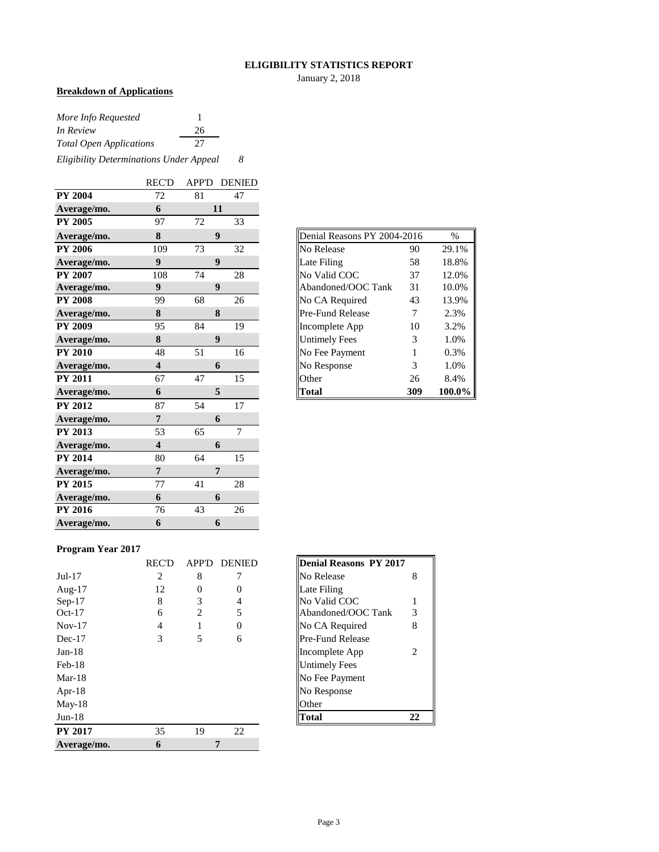#### **ELIGIBILITY STATISTICS REPORT**

January 2, 2018

## **Breakdown of Applications**

| More Info Requested                     |    |  |  |  |
|-----------------------------------------|----|--|--|--|
| In Review                               | 26 |  |  |  |
| <b>Total Open Applications</b>          | 27 |  |  |  |
| Eligibility Determinations Under Appeal |    |  |  |  |

|                | <b>REC'D</b>            | APP'D | <b>DENIED</b>    |
|----------------|-------------------------|-------|------------------|
| <b>PY 2004</b> | 72                      | 81    | 47               |
| Average/mo.    | 6                       |       | 11               |
| <b>PY 2005</b> | 97                      | 72    | 33               |
| Average/mo.    | 8                       |       | 9                |
| <b>PY 2006</b> | 109                     | 73    | 32               |
| Average/mo.    | $\boldsymbol{9}$        |       | $\boldsymbol{9}$ |
| <b>PY 2007</b> | 108                     | 74    | 28               |
| Average/mo.    | 9                       |       | 9                |
| <b>PY 2008</b> | 99                      | 68    | 26               |
| Average/mo.    | 8                       |       | 8                |
| <b>PY 2009</b> | 95                      | 84    | 19               |
| Average/mo.    | 8                       |       | 9                |
| <b>PY 2010</b> | 48                      | 51    | 16               |
| Average/mo.    | $\overline{\mathbf{4}}$ |       | 6                |
| <b>PY 2011</b> | 67                      | 47    | 15               |
| Average/mo.    | 6                       |       | 5                |
| <b>PY 2012</b> | 87                      | 54    | 17               |
| Average/mo.    | 7                       |       | 6                |
| <b>PY 2013</b> | 53                      | 65    | $\overline{7}$   |
| Average/mo.    | $\overline{\mathbf{4}}$ |       | 6                |
| <b>PY 2014</b> | 80                      | 64    | 15               |
| Average/mo.    | $\overline{7}$          |       | 7                |
| <b>PY 2015</b> | 77                      | 41    | 28               |
| Average/mo.    | 6                       |       | 6                |
| <b>PY 2016</b> | 76                      | 43    | 26               |
| Average/mo.    | 6                       |       | 6                |

| Denial Reasons PY 2004-2016 |     | $\frac{0}{0}$ |
|-----------------------------|-----|---------------|
| No Release                  | 90  | 29.1%         |
| Late Filing                 | 58  | 18.8%         |
| No Valid COC                | 37  | 12.0%         |
| Abandoned/OOC Tank          | 31  | 10.0%         |
| No CA Required              | 43  | 13.9%         |
| Pre-Fund Release            | 7   | 2.3%          |
| Incomplete App              | 10  | 3.2%          |
| <b>Untimely Fees</b>        | 3   | 1.0%          |
| No Fee Payment              | 1   | 0.3%          |
| No Response                 | 3   | 1.0%          |
| Other                       | 26  | 8.4%          |
| Total                       | 309 | 100.0%        |

### **Program Year 2017**

|                | <b>REC'D</b> | APP'D | <b>DENIED</b> | Denial Reasons PY 2017  |   |
|----------------|--------------|-------|---------------|-------------------------|---|
| $Jul-17$       | 2            | 8     |               | No Release              | 8 |
| Aug- $17$      | 12           | 0     | $\Omega$      | Late Filing             |   |
| $Sep-17$       | 8            | 3     | 4             | No Valid COC            |   |
| $Oct-17$       | 6            | 2     | 5             | Abandoned/OOC Tank<br>3 |   |
| $Nov-17$       | 4            |       | $\Omega$      | No CA Required<br>8     |   |
| $Dec-17$       | 3            | 5     | 6             | <b>Pre-Fund Release</b> |   |
| $Jan-18$       |              |       |               | Incomplete App          | 2 |
| $Feb-18$       |              |       |               | <b>Untimely Fees</b>    |   |
| $Mar-18$       |              |       |               | No Fee Payment          |   |
| Apr- $18$      |              |       |               | No Response             |   |
| $May-18$       |              |       |               | Other                   |   |
| $Jun-18$       |              |       |               | <b>Total</b><br>22      |   |
| <b>PY 2017</b> | 35           | 19    | 22            |                         |   |
| Average/mo.    | 6            |       | 7             |                         |   |

| <b>Denial Reasons PY 2017</b> |   |
|-------------------------------|---|
| No Release                    | 8 |
| Late Filing                   |   |
| No Valid COC                  | 1 |
| Abandoned/OOC Tank            | 3 |
| No CA Required                | 8 |
| Pre-Fund Release              |   |
| Incomplete App                | 2 |
| Untimely Fees                 |   |
| No Fee Payment                |   |
| No Response                   |   |
| ∩ther                         |   |
| lotal                         |   |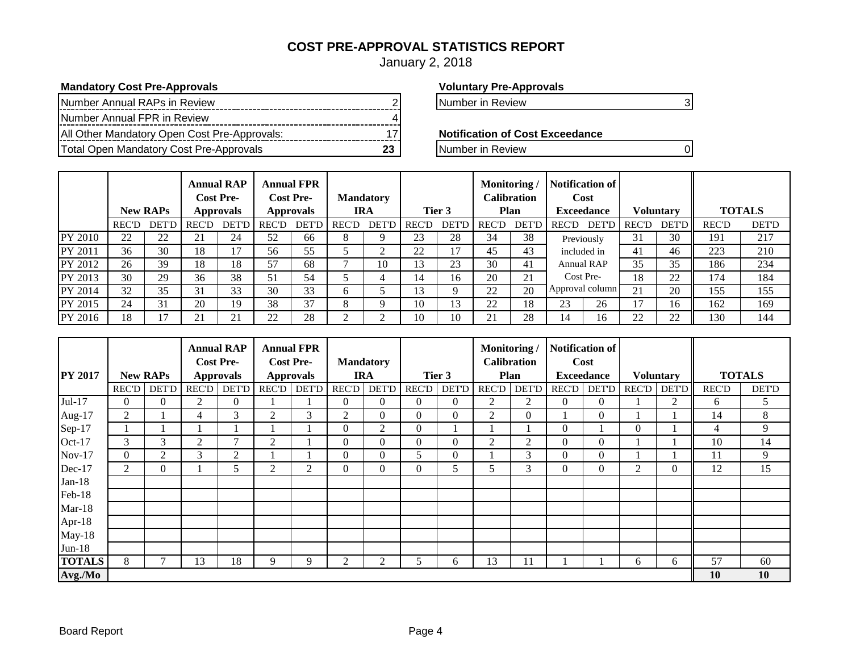## **COST PRE-APPROVAL STATISTICS REPORT**

January 2, 2018

## **Mandatory Cost Pre-Approvals Voluntary Pre-Approvals**

| Number Annual RAPs in Review                 |  |
|----------------------------------------------|--|
| Number Annual FPR in Review                  |  |
| All Other Mandatory Open Cost Pre-Approvals: |  |
| Total Open Mandatory Cost Pre-Approvals      |  |

Number in Review 2 Number in Review 3

**Notification of Cost Exceedance** 

**The Pre-Approvals** 23 Number in Review 0

|         |              | <b>New RAPs</b> |              | <b>Annual RAP</b><br><b>Cost Pre-</b><br><b>Approvals</b> |              | <b>Annual FPR</b><br><b>Cost Pre-</b><br><b>Approvals</b> |              | <b>Mandatory</b><br><b>IRA</b> |              | Tier 3       | Monitoring/  | Calibration<br>Plan | Notification of<br>Cost<br><b>Exceedance</b> |                   |              |       |              | <b>Voluntary</b> |  | <b>TOTALS</b> |
|---------|--------------|-----------------|--------------|-----------------------------------------------------------|--------------|-----------------------------------------------------------|--------------|--------------------------------|--------------|--------------|--------------|---------------------|----------------------------------------------|-------------------|--------------|-------|--------------|------------------|--|---------------|
|         | <b>REC'D</b> | <b>DET'D</b>    | <b>REC'D</b> | <b>DET'D</b>                                              | <b>REC'D</b> | <b>DET'D</b>                                              | <b>REC'D</b> | <b>DET'D</b>                   | <b>REC'D</b> | <b>DET'D</b> | <b>REC'D</b> | <b>DET'D</b>        | <b>REC'D</b>                                 | <b>DET'D</b>      | <b>REC'D</b> | DET'D | <b>REC'D</b> | <b>DET'D</b>     |  |               |
| PY 2010 | 22           | 22              | 21           | 24                                                        | 52           | 66                                                        | 8            | Q                              | 23           | 28           | 34           | 38                  |                                              | Previously        |              | 30    | 191          | 217              |  |               |
| PY 2011 | 36           | 30              | 18           | 17                                                        | 56           | 55                                                        |              | ◠                              | 22           | 17           | 45           | 43                  | included in                                  |                   | 41           | 46    | 223          | 210              |  |               |
| PY 2012 | 26           | 39              | 18           | 18                                                        | 57           | 68                                                        |              | 10                             | 13           | 23           | 30           | 41                  |                                              | <b>Annual RAP</b> | 35           | 35    | 186          | 234              |  |               |
| PY 2013 | 30           | 29              | 36           | 38                                                        | 51           | 54                                                        |              |                                | 4ء           | 16           | 20           | 21                  | Cost Pre-                                    |                   | 18           | 22    | 174          | 184              |  |               |
| PY 2014 | 32           | 35              | 31           | 33                                                        | 30           | 33                                                        | <sub>6</sub> |                                | 3            | Q            | 22           | 20                  | Approval column                              |                   | 21           | 20    | 155          | 155              |  |               |
| PY 2015 | 24           | 31              | 20           | 19                                                        | 38           | 37                                                        | δ.           | Q                              | 10           | 13           | 22           | 18                  | 23                                           | 26                | 17           | 16    | 162          | 169              |  |               |
| PY 2016 | 18           |                 | 21           | 21                                                        | 22           | 28                                                        | ◠            | $\sim$                         | 10           | 10           | 21           | 28                  | 14                                           | 16                | 22           | 22    | 130          | 144              |  |               |

|                |                |                 |                | <b>Annual RAP</b>                    |                | <b>Annual FPR</b>                    |                |                                |                |              | Monitoring/  |                                   |              | <b>Notification of</b>    |          |                  |              |               |
|----------------|----------------|-----------------|----------------|--------------------------------------|----------------|--------------------------------------|----------------|--------------------------------|----------------|--------------|--------------|-----------------------------------|--------------|---------------------------|----------|------------------|--------------|---------------|
| <b>PY 2017</b> |                | <b>New RAPs</b> |                | <b>Cost Pre-</b><br><b>Approvals</b> |                | <b>Cost Pre-</b><br><b>Approvals</b> |                | <b>Mandatory</b><br><b>IRA</b> |                | Tier 3       |              | <b>Calibration</b><br><b>Plan</b> |              | Cost<br><b>Exceedance</b> |          | <b>Voluntary</b> |              | <b>TOTALS</b> |
|                | <b>REC'D</b>   | <b>DET'D</b>    | <b>REC'D</b>   | <b>DET'D</b>                         | REC'D          | <b>DET'D</b>                         | <b>REC'D</b>   | <b>DET'D</b>                   | <b>REC'D</b>   | <b>DET'D</b> | <b>REC'D</b> | <b>DET'D</b>                      | <b>REC'D</b> | <b>DET'D</b>              | REC'D    | DET'D            | <b>REC'D</b> | <b>DET'D</b>  |
|                |                |                 |                |                                      |                |                                      |                |                                |                |              |              |                                   |              |                           |          |                  |              |               |
| Jul-17         | 0              | $\Omega$        | $\overline{2}$ | $\overline{0}$                       |                |                                      | $\Omega$       | 0                              | $\Omega$       | $\Omega$     | 2            | 2                                 | $\Omega$     | $\Omega$                  |          |                  | 6            | 5             |
| Aug- $17$      | $\overline{c}$ |                 | $\overline{4}$ | 3                                    | $\overline{2}$ | 3                                    | $\overline{2}$ | $\Omega$                       | $\Omega$       | $\Omega$     | 2            | 0                                 |              | $\theta$                  |          |                  | 14           | 8             |
| Sep-17         |                |                 |                |                                      |                |                                      | $\Omega$       | 2                              | $\overline{0}$ |              |              |                                   | $\mathbf{0}$ |                           | $\Omega$ |                  | 4            | 9             |
| Oct-17         | 3              | 3               | $\overline{c}$ | 7                                    | $\overline{2}$ |                                      | $\Omega$       | 0                              | $\Omega$       | $\theta$     | 2            | 2                                 | $\mathbf{0}$ | $\theta$                  |          |                  | 10           | 14            |
| $Nov-17$       | 0              | 2               | 3              | $\overline{2}$                       |                |                                      | $\Omega$       | 0                              | 5.             | $\theta$     |              | 3                                 | $\Omega$     | $\theta$                  |          |                  | 11           | 9             |
| Dec-17         | $\overline{c}$ | $\overline{0}$  |                | 5                                    | $\overline{2}$ | 2                                    | $\Omega$       | $\Omega$                       | $\Omega$       | 5            | 5            | 3                                 | $\Omega$     | $\Omega$                  | 2        | $\Omega$         | 12           | 15            |
| $Jan-18$       |                |                 |                |                                      |                |                                      |                |                                |                |              |              |                                   |              |                           |          |                  |              |               |
| Feb-18         |                |                 |                |                                      |                |                                      |                |                                |                |              |              |                                   |              |                           |          |                  |              |               |
| $Mar-18$       |                |                 |                |                                      |                |                                      |                |                                |                |              |              |                                   |              |                           |          |                  |              |               |
| Apr-18         |                |                 |                |                                      |                |                                      |                |                                |                |              |              |                                   |              |                           |          |                  |              |               |
| $May-18$       |                |                 |                |                                      |                |                                      |                |                                |                |              |              |                                   |              |                           |          |                  |              |               |
| $Jun-18$       |                |                 |                |                                      |                |                                      |                |                                |                |              |              |                                   |              |                           |          |                  |              |               |
| <b>TOTALS</b>  | 8              | Ξ               | 13             | 18                                   | 9              | Q                                    | $\overline{2}$ | $\overline{c}$                 | 5              | 6            | 13           | 11                                |              |                           | 6        | 6                | 57           | 60            |
| Avg./Mo        |                |                 |                |                                      |                |                                      |                |                                |                |              |              |                                   |              |                           |          |                  | 10           | 10            |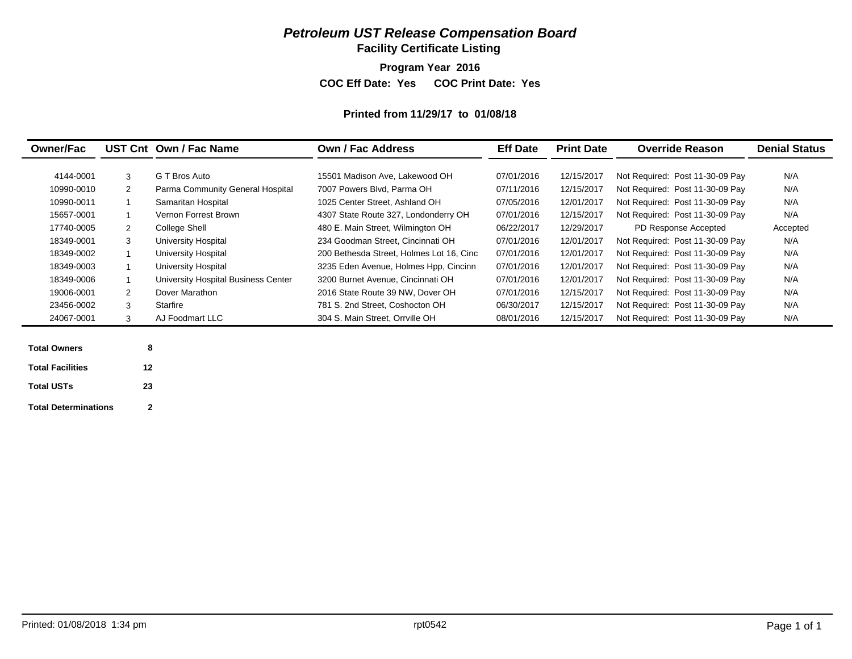**Facility Certificate Listing**

**Program Year 2016**

**COC Eff Date: Yes COC Print Date: Yes** 

#### **Printed from 11/29/17 to 01/08/18**

|            |   | UST Cnt Own / Fac Name              | Own / Fac Address                        | <b>Eff Date</b> | <b>Print Date</b> | <b>Override Reason</b>          | <b>Denial Status</b> |  |
|------------|---|-------------------------------------|------------------------------------------|-----------------|-------------------|---------------------------------|----------------------|--|
| 4144-0001  | 3 | G T Bros Auto                       | 15501 Madison Ave. Lakewood OH           | 07/01/2016      | 12/15/2017        | Not Required: Post 11-30-09 Pay | N/A                  |  |
| 10990-0010 | 2 | Parma Community General Hospital    | 7007 Powers Blvd, Parma OH               | 07/11/2016      | 12/15/2017        | Not Required: Post 11-30-09 Pay | N/A                  |  |
| 10990-0011 |   | Samaritan Hospital                  | 1025 Center Street. Ashland OH           | 07/05/2016      | 12/01/2017        | Not Required: Post 11-30-09 Pay | N/A                  |  |
| 15657-0001 |   | Vernon Forrest Brown                | 4307 State Route 327, Londonderry OH     | 07/01/2016      | 12/15/2017        | Not Required: Post 11-30-09 Pay | N/A                  |  |
| 17740-0005 | 2 | College Shell                       | 480 E. Main Street, Wilmington OH        | 06/22/2017      | 12/29/2017        | PD Response Accepted            | Accepted             |  |
| 18349-0001 | 3 | University Hospital                 | 234 Goodman Street, Cincinnati OH        | 07/01/2016      | 12/01/2017        | Not Required: Post 11-30-09 Pay | N/A                  |  |
| 18349-0002 |   | University Hospital                 | 200 Bethesda Street, Holmes Lot 16, Cinc | 07/01/2016      | 12/01/2017        | Not Required: Post 11-30-09 Pay | N/A                  |  |
| 18349-0003 |   | University Hospital                 | 3235 Eden Avenue, Holmes Hpp, Cincinn    | 07/01/2016      | 12/01/2017        | Not Required: Post 11-30-09 Pay | N/A                  |  |
| 18349-0006 |   | University Hospital Business Center | 3200 Burnet Avenue, Cincinnati OH        | 07/01/2016      | 12/01/2017        | Not Required: Post 11-30-09 Pay | N/A                  |  |
| 19006-0001 | 2 | Dover Marathon                      | 2016 State Route 39 NW, Dover OH         | 07/01/2016      | 12/15/2017        | Not Required: Post 11-30-09 Pay | N/A                  |  |
| 23456-0002 | 3 | Starfire                            | 781 S. 2nd Street. Coshocton OH          | 06/30/2017      | 12/15/2017        | Not Required: Post 11-30-09 Pay | N/A                  |  |
| 24067-0001 | 3 | AJ Foodmart LLC                     | 304 S. Main Street. Orrville OH          | 08/01/2016      | 12/15/2017        | Not Required: Post 11-30-09 Pay | N/A                  |  |

| <b>Total Owners</b>         | 8  |  |
|-----------------------------|----|--|
| <b>Total Facilities</b>     | 12 |  |
| <b>Total USTs</b>           | 23 |  |
| <b>Total Determinations</b> | 2  |  |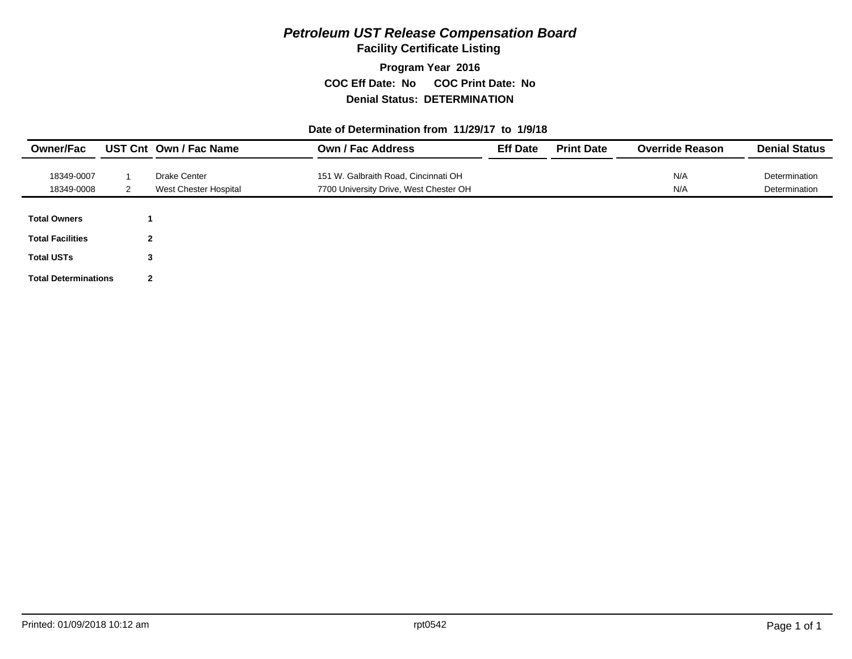**Facility Certificate Listing**

**Program Year 2016 COC Eff Date: No COC Print Date: No Denial Status: DETERMINATION**

#### **Date of Determination from 11/29/17 to 1/9/18**

| <b>Owner/Fac</b>            |   | UST Cnt Own / Fac Name | <b>Own / Fac Address</b>               | <b>Eff Date</b> | <b>Print Date</b> | <b>Override Reason</b> | <b>Denial Status</b> |
|-----------------------------|---|------------------------|----------------------------------------|-----------------|-------------------|------------------------|----------------------|
| 18349-0007                  |   | <b>Drake Center</b>    | 151 W. Galbraith Road, Cincinnati OH   |                 |                   | N/A                    | Determination        |
| 18349-0008                  |   | West Chester Hospital  | 7700 University Drive, West Chester OH |                 |                   | N/A                    | Determination        |
|                             |   |                        |                                        |                 |                   |                        |                      |
| <b>Total Owners</b>         |   |                        |                                        |                 |                   |                        |                      |
| <b>Total Facilities</b>     | 2 |                        |                                        |                 |                   |                        |                      |
| <b>Total USTs</b>           | 3 |                        |                                        |                 |                   |                        |                      |
| <b>Total Determinations</b> | 2 |                        |                                        |                 |                   |                        |                      |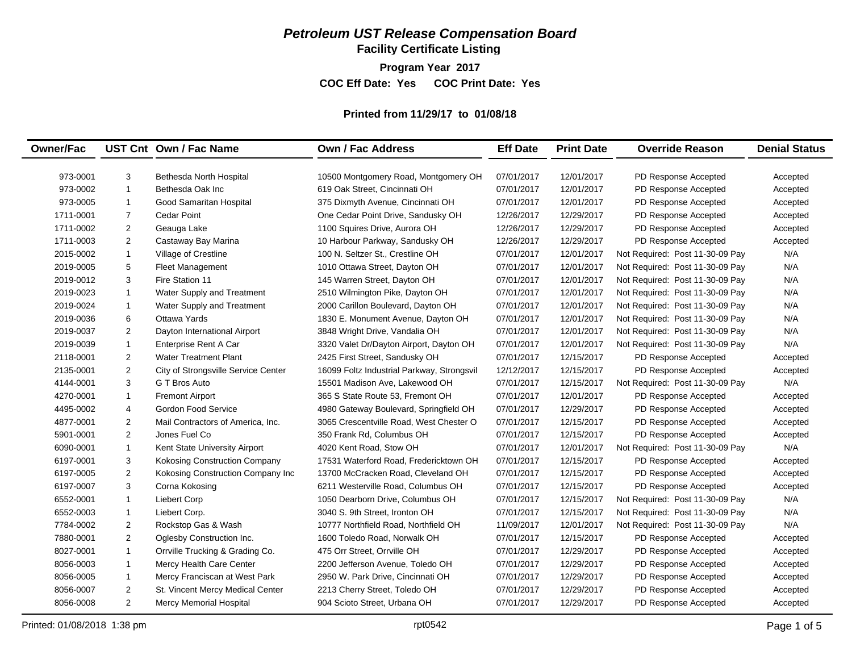**Facility Certificate Listing**

**Program Year 2017 COC Eff Date: Yes COC Print Date: Yes** 

## **Printed from 11/29/17 to 01/08/18**

| <b>Owner/Fac</b> |                | UST Cnt Own / Fac Name              | <b>Own / Fac Address</b>                   | <b>Eff Date</b> | <b>Print Date</b> | <b>Override Reason</b>          | <b>Denial Status</b> |
|------------------|----------------|-------------------------------------|--------------------------------------------|-----------------|-------------------|---------------------------------|----------------------|
|                  |                |                                     |                                            |                 |                   |                                 |                      |
| 973-0001         | 3              | Bethesda North Hospital             | 10500 Montgomery Road, Montgomery OH       | 07/01/2017      | 12/01/2017        | PD Response Accepted            | Accepted             |
| 973-0002         | $\overline{1}$ | Bethesda Oak Inc                    | 619 Oak Street, Cincinnati OH              | 07/01/2017      | 12/01/2017        | PD Response Accepted            | Accepted             |
| 973-0005         | $\overline{1}$ | Good Samaritan Hospital             | 375 Dixmyth Avenue, Cincinnati OH          | 07/01/2017      | 12/01/2017        | PD Response Accepted            | Accepted             |
| 1711-0001        | $\overline{7}$ | <b>Cedar Point</b>                  | One Cedar Point Drive, Sandusky OH         | 12/26/2017      | 12/29/2017        | PD Response Accepted            | Accepted             |
| 1711-0002        | $\overline{2}$ | Geauga Lake                         | 1100 Squires Drive, Aurora OH              | 12/26/2017      | 12/29/2017        | PD Response Accepted            | Accepted             |
| 1711-0003        | $\overline{2}$ | Castaway Bay Marina                 | 10 Harbour Parkway, Sandusky OH            | 12/26/2017      | 12/29/2017        | PD Response Accepted            | Accepted             |
| 2015-0002        | $\mathbf{1}$   | Village of Crestline                | 100 N. Seltzer St., Crestline OH           | 07/01/2017      | 12/01/2017        | Not Required: Post 11-30-09 Pay | N/A                  |
| 2019-0005        | 5              | <b>Fleet Management</b>             | 1010 Ottawa Street, Dayton OH              | 07/01/2017      | 12/01/2017        | Not Required: Post 11-30-09 Pay | N/A                  |
| 2019-0012        | 3              | Fire Station 11                     | 145 Warren Street, Dayton OH               | 07/01/2017      | 12/01/2017        | Not Required: Post 11-30-09 Pay | N/A                  |
| 2019-0023        | $\overline{1}$ | Water Supply and Treatment          | 2510 Wilmington Pike, Dayton OH            | 07/01/2017      | 12/01/2017        | Not Required: Post 11-30-09 Pay | N/A                  |
| 2019-0024        | $\overline{1}$ | Water Supply and Treatment          | 2000 Carillon Boulevard, Dayton OH         | 07/01/2017      | 12/01/2017        | Not Required: Post 11-30-09 Pay | N/A                  |
| 2019-0036        | 6              | Ottawa Yards                        | 1830 E. Monument Avenue, Dayton OH         | 07/01/2017      | 12/01/2017        | Not Required: Post 11-30-09 Pay | N/A                  |
| 2019-0037        | $\overline{2}$ | Dayton International Airport        | 3848 Wright Drive, Vandalia OH             | 07/01/2017      | 12/01/2017        | Not Required: Post 11-30-09 Pay | N/A                  |
| 2019-0039        | $\overline{1}$ | Enterprise Rent A Car               | 3320 Valet Dr/Dayton Airport, Dayton OH    | 07/01/2017      | 12/01/2017        | Not Required: Post 11-30-09 Pay | N/A                  |
| 2118-0001        | $\overline{2}$ | <b>Water Treatment Plant</b>        | 2425 First Street, Sandusky OH             | 07/01/2017      | 12/15/2017        | PD Response Accepted            | Accepted             |
| 2135-0001        | $\overline{2}$ | City of Strongsville Service Center | 16099 Foltz Industrial Parkway, Strongsvil | 12/12/2017      | 12/15/2017        | PD Response Accepted            | Accepted             |
| 4144-0001        | 3              | G T Bros Auto                       | 15501 Madison Ave, Lakewood OH             | 07/01/2017      | 12/15/2017        | Not Required: Post 11-30-09 Pay | N/A                  |
| 4270-0001        | $\overline{1}$ | <b>Fremont Airport</b>              | 365 S State Route 53. Fremont OH           | 07/01/2017      | 12/01/2017        | PD Response Accepted            | Accepted             |
| 4495-0002        | 4              | <b>Gordon Food Service</b>          | 4980 Gateway Boulevard, Springfield OH     | 07/01/2017      | 12/29/2017        | PD Response Accepted            | Accepted             |
| 4877-0001        | $\overline{2}$ | Mail Contractors of America, Inc.   | 3065 Crescentville Road, West Chester O    | 07/01/2017      | 12/15/2017        | PD Response Accepted            | Accepted             |
| 5901-0001        | $\overline{2}$ | Jones Fuel Co                       | 350 Frank Rd, Columbus OH                  | 07/01/2017      | 12/15/2017        | PD Response Accepted            | Accepted             |
| 6090-0001        | $\overline{1}$ | Kent State University Airport       | 4020 Kent Road, Stow OH                    | 07/01/2017      | 12/01/2017        | Not Required: Post 11-30-09 Pay | N/A                  |
| 6197-0001        | 3              | Kokosing Construction Company       | 17531 Waterford Road, Fredericktown OH     | 07/01/2017      | 12/15/2017        | PD Response Accepted            | Accepted             |
| 6197-0005        | $\overline{2}$ | Kokosing Construction Company Inc   | 13700 McCracken Road, Cleveland OH         | 07/01/2017      | 12/15/2017        | PD Response Accepted            | Accepted             |
| 6197-0007        | 3              | Corna Kokosing                      | 6211 Westerville Road, Columbus OH         | 07/01/2017      | 12/15/2017        | PD Response Accepted            | Accepted             |
| 6552-0001        | $\overline{1}$ | Liebert Corp                        | 1050 Dearborn Drive, Columbus OH           | 07/01/2017      | 12/15/2017        | Not Required: Post 11-30-09 Pay | N/A                  |
| 6552-0003        | $\mathbf{1}$   | Liebert Corp.                       | 3040 S. 9th Street, Ironton OH             | 07/01/2017      | 12/15/2017        | Not Required: Post 11-30-09 Pay | N/A                  |
| 7784-0002        | $\overline{c}$ | Rockstop Gas & Wash                 | 10777 Northfield Road, Northfield OH       | 11/09/2017      | 12/01/2017        | Not Required: Post 11-30-09 Pay | N/A                  |
| 7880-0001        | $\overline{2}$ | Oglesby Construction Inc.           | 1600 Toledo Road, Norwalk OH               | 07/01/2017      | 12/15/2017        | PD Response Accepted            | Accepted             |
| 8027-0001        | $\overline{1}$ | Orrville Trucking & Grading Co.     | 475 Orr Street, Orrville OH                | 07/01/2017      | 12/29/2017        | PD Response Accepted            | Accepted             |
| 8056-0003        | $\overline{1}$ | Mercy Health Care Center            | 2200 Jefferson Avenue, Toledo OH           | 07/01/2017      | 12/29/2017        | PD Response Accepted            | Accepted             |
| 8056-0005        | $\mathbf{1}$   | Mercy Franciscan at West Park       | 2950 W. Park Drive, Cincinnati OH          | 07/01/2017      | 12/29/2017        | PD Response Accepted            | Accepted             |
| 8056-0007        | $\overline{2}$ | St. Vincent Mercy Medical Center    | 2213 Cherry Street, Toledo OH              | 07/01/2017      | 12/29/2017        | PD Response Accepted            | Accepted             |
| 8056-0008        | $\overline{2}$ | Mercy Memorial Hospital             | 904 Scioto Street, Urbana OH               | 07/01/2017      | 12/29/2017        | PD Response Accepted            | Accepted             |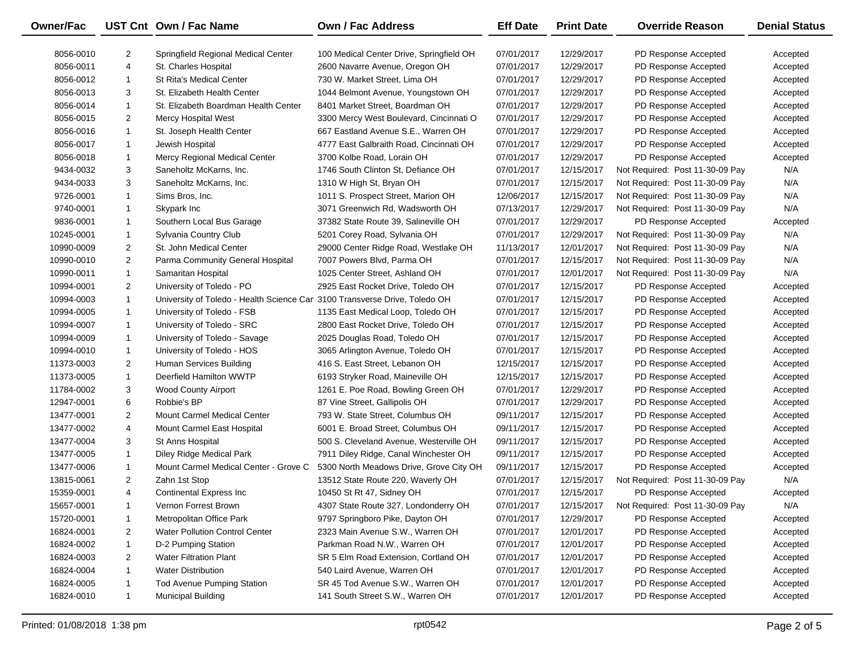| Owner/Fac  |                | UST Cnt Own / Fac Name                                                     | <b>Own / Fac Address</b>                                              | <b>Eff Date</b>          | <b>Print Date</b> | <b>Override Reason</b>                                             | <b>Denial Status</b> |
|------------|----------------|----------------------------------------------------------------------------|-----------------------------------------------------------------------|--------------------------|-------------------|--------------------------------------------------------------------|----------------------|
| 8056-0010  | 2              | Springfield Regional Medical Center                                        | 100 Medical Center Drive, Springfield OH                              | 07/01/2017               | 12/29/2017        | PD Response Accepted                                               | Accepted             |
| 8056-0011  | 4              | St. Charles Hospital                                                       | 2600 Navarre Avenue, Oregon OH                                        | 07/01/2017               | 12/29/2017        | PD Response Accepted                                               | Accepted             |
| 8056-0012  | $\mathbf{1}$   | <b>St Rita's Medical Center</b>                                            | 730 W. Market Street. Lima OH                                         | 07/01/2017               | 12/29/2017        | PD Response Accepted                                               | Accepted             |
| 8056-0013  | 3              | St. Elizabeth Health Center                                                | 1044 Belmont Avenue, Youngstown OH                                    | 07/01/2017               | 12/29/2017        | PD Response Accepted                                               | Accepted             |
| 8056-0014  | $\mathbf{1}$   | St. Elizabeth Boardman Health Center                                       | 8401 Market Street, Boardman OH                                       | 07/01/2017               | 12/29/2017        | PD Response Accepted                                               | Accepted             |
| 8056-0015  | 2              | <b>Mercy Hospital West</b>                                                 | 3300 Mercy West Boulevard, Cincinnati O                               | 07/01/2017               | 12/29/2017        | PD Response Accepted                                               | Accepted             |
| 8056-0016  | $\mathbf{1}$   | St. Joseph Health Center                                                   | 667 Eastland Avenue S.E., Warren OH                                   | 07/01/2017               | 12/29/2017        | PD Response Accepted                                               | Accepted             |
| 8056-0017  | $\mathbf{1}$   | Jewish Hospital                                                            | 4777 East Galbraith Road, Cincinnati OH                               | 07/01/2017               | 12/29/2017        | PD Response Accepted                                               | Accepted             |
| 8056-0018  | $\mathbf{1}$   | Mercy Regional Medical Center                                              | 3700 Kolbe Road, Lorain OH                                            | 07/01/2017               | 12/29/2017        | PD Response Accepted                                               | Accepted             |
| 9434-0032  | 3              | Saneholtz McKarns, Inc.                                                    | 1746 South Clinton St, Defiance OH                                    | 07/01/2017               | 12/15/2017        | Not Required: Post 11-30-09 Pay                                    | N/A                  |
|            | 3              | Saneholtz McKarns, Inc.                                                    | 1310 W High St, Bryan OH                                              | 07/01/2017               | 12/15/2017        | Not Required: Post 11-30-09 Pay                                    | N/A                  |
| 9434-0033  | $\mathbf{1}$   | Sims Bros, Inc.                                                            |                                                                       |                          | 12/15/2017        |                                                                    | N/A                  |
| 9726-0001  | $\mathbf{1}$   | Skypark Inc                                                                | 1011 S. Prospect Street, Marion OH<br>3071 Greenwich Rd, Wadsworth OH | 12/06/2017<br>07/13/2017 | 12/29/2017        | Not Required: Post 11-30-09 Pay<br>Not Required: Post 11-30-09 Pay | N/A                  |
| 9740-0001  | $\mathbf{1}$   | Southern Local Bus Garage                                                  | 37382 State Route 39, Salineville OH                                  | 07/01/2017               | 12/29/2017        |                                                                    |                      |
| 9836-0001  |                |                                                                            |                                                                       |                          |                   | PD Response Accepted                                               | Accepted             |
| 10245-0001 | 1              | Sylvania Country Club<br>St. John Medical Center                           | 5201 Corey Road, Sylvania OH                                          | 07/01/2017               | 12/29/2017        | Not Required: Post 11-30-09 Pay                                    | N/A<br>N/A           |
| 10990-0009 | $\overline{2}$ |                                                                            | 29000 Center Ridge Road, Westlake OH                                  | 11/13/2017               | 12/01/2017        | Not Required: Post 11-30-09 Pay                                    | N/A                  |
| 10990-0010 | $\overline{2}$ | Parma Community General Hospital                                           | 7007 Powers Blvd, Parma OH                                            | 07/01/2017               | 12/15/2017        | Not Required: Post 11-30-09 Pay                                    | N/A                  |
| 10990-0011 | $\mathbf{1}$   | Samaritan Hospital                                                         | 1025 Center Street, Ashland OH                                        | 07/01/2017               | 12/01/2017        | Not Required: Post 11-30-09 Pay                                    |                      |
| 10994-0001 | $\overline{2}$ | University of Toledo - PO                                                  | 2925 East Rocket Drive, Toledo OH                                     | 07/01/2017               | 12/15/2017        | PD Response Accepted                                               | Accepted             |
| 10994-0003 | $\mathbf{1}$   | University of Toledo - Health Science Car 3100 Transverse Drive, Toledo OH |                                                                       | 07/01/2017               | 12/15/2017        | PD Response Accepted                                               | Accepted             |
| 10994-0005 | $\mathbf{1}$   | University of Toledo - FSB                                                 | 1135 East Medical Loop, Toledo OH                                     | 07/01/2017               | 12/15/2017        | PD Response Accepted                                               | Accepted             |
| 10994-0007 | $\mathbf{1}$   | University of Toledo - SRC                                                 | 2800 East Rocket Drive, Toledo OH                                     | 07/01/2017               | 12/15/2017        | PD Response Accepted                                               | Accepted             |
| 10994-0009 | $\mathbf{1}$   | University of Toledo - Savage                                              | 2025 Douglas Road, Toledo OH                                          | 07/01/2017               | 12/15/2017        | PD Response Accepted                                               | Accepted             |
| 10994-0010 | $\mathbf{1}$   | University of Toledo - HOS                                                 | 3065 Arlington Avenue, Toledo OH                                      | 07/01/2017               | 12/15/2017        | PD Response Accepted                                               | Accepted             |
| 11373-0003 | $\overline{2}$ | Human Services Building                                                    | 416 S. East Street, Lebanon OH                                        | 12/15/2017               | 12/15/2017        | PD Response Accepted                                               | Accepted             |
| 11373-0005 | $\mathbf{1}$   | Deerfield Hamilton WWTP                                                    | 6193 Stryker Road, Maineville OH                                      | 12/15/2017               | 12/15/2017        | PD Response Accepted                                               | Accepted             |
| 11784-0002 | 3              | <b>Wood County Airport</b>                                                 | 1261 E. Poe Road, Bowling Green OH                                    | 07/01/2017               | 12/29/2017        | PD Response Accepted                                               | Accepted             |
| 12947-0001 | 6              | Robbie's BP                                                                | 87 Vine Street, Gallipolis OH                                         | 07/01/2017               | 12/29/2017        | PD Response Accepted                                               | Accepted             |
| 13477-0001 | $\overline{2}$ | <b>Mount Carmel Medical Center</b>                                         | 793 W. State Street, Columbus OH                                      | 09/11/2017               | 12/15/2017        | PD Response Accepted                                               | Accepted             |
| 13477-0002 | 4              | Mount Carmel East Hospital                                                 | 6001 E. Broad Street, Columbus OH                                     | 09/11/2017               | 12/15/2017        | PD Response Accepted                                               | Accepted             |
| 13477-0004 | 3              | St Anns Hospital                                                           | 500 S. Cleveland Avenue, Westerville OH                               | 09/11/2017               | 12/15/2017        | PD Response Accepted                                               | Accepted             |
| 13477-0005 | $\mathbf{1}$   | Diley Ridge Medical Park                                                   | 7911 Diley Ridge, Canal Winchester OH                                 | 09/11/2017               | 12/15/2017        | PD Response Accepted                                               | Accepted             |
| 13477-0006 | $\mathbf{1}$   | Mount Carmel Medical Center - Grove C                                      | 5300 North Meadows Drive, Grove City OH                               | 09/11/2017               | 12/15/2017        | PD Response Accepted                                               | Accepted             |
| 13815-0061 | $\overline{2}$ | Zahn 1st Stop                                                              | 13512 State Route 220, Waverly OH                                     | 07/01/2017               | 12/15/2017        | Not Required: Post 11-30-09 Pay                                    | N/A                  |
| 15359-0001 | 4              | Continental Express Inc.                                                   | 10450 St Rt 47, Sidney OH                                             | 07/01/2017               | 12/15/2017        | PD Response Accepted                                               | Accepted             |
| 15657-0001 | -1             | Vernon Forrest Brown                                                       | 4307 State Route 327, Londonderry OH                                  | 07/01/2017               | 12/15/2017        | Not Required: Post 11-30-09 Pay                                    | N/A                  |
| 15720-0001 | 1              | Metropolitan Office Park                                                   | 9797 Springboro Pike, Dayton OH                                       | 07/01/2017               | 12/29/2017        | PD Response Accepted                                               | Accepted             |
| 16824-0001 | $\overline{2}$ | Water Pollution Control Center                                             | 2323 Main Avenue S.W., Warren OH                                      | 07/01/2017               | 12/01/2017        | PD Response Accepted                                               | Accepted             |
| 16824-0002 | 1              | D-2 Pumping Station                                                        | Parkman Road N.W., Warren OH                                          | 07/01/2017               | 12/01/2017        | PD Response Accepted                                               | Accepted             |
| 16824-0003 | $\overline{2}$ | <b>Water Filtration Plant</b>                                              | SR 5 Elm Road Extension, Cortland OH                                  | 07/01/2017               | 12/01/2017        | PD Response Accepted                                               | Accepted             |
| 16824-0004 | 1              | <b>Water Distribution</b>                                                  | 540 Laird Avenue, Warren OH                                           | 07/01/2017               | 12/01/2017        | PD Response Accepted                                               | Accepted             |
| 16824-0005 | 1              | <b>Tod Avenue Pumping Station</b>                                          | SR 45 Tod Avenue S.W., Warren OH                                      | 07/01/2017               | 12/01/2017        | PD Response Accepted                                               | Accepted             |
| 16824-0010 | 1              | Municipal Building                                                         | 141 South Street S.W., Warren OH                                      | 07/01/2017               | 12/01/2017        | PD Response Accepted                                               | Accepted             |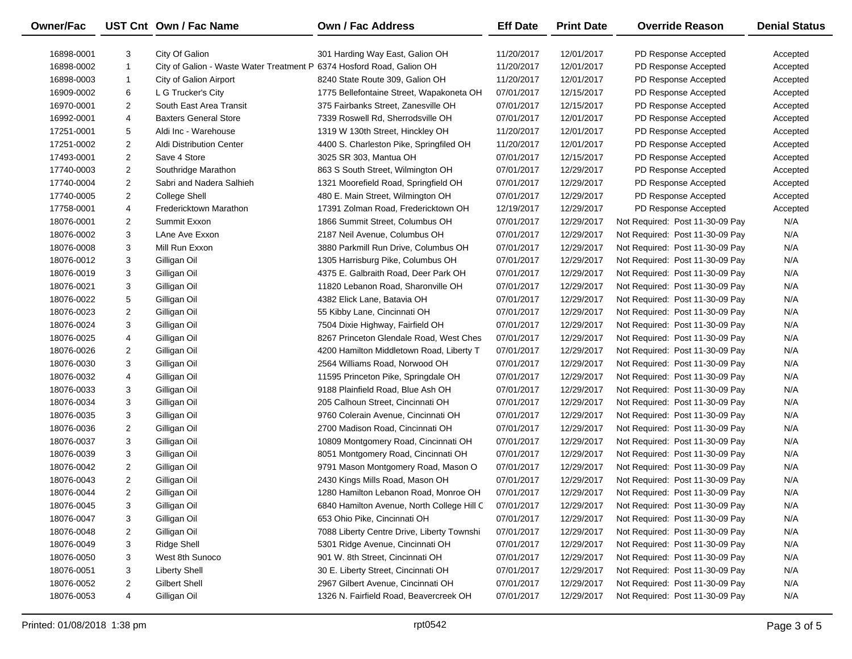| <b>Owner/Fac</b> |                | UST Cnt Own / Fac Name                                                | <b>Own / Fac Address</b>                   | <b>Eff Date</b> | <b>Print Date</b> | <b>Override Reason</b>          | <b>Denial Status</b> |
|------------------|----------------|-----------------------------------------------------------------------|--------------------------------------------|-----------------|-------------------|---------------------------------|----------------------|
| 16898-0001       | 3              | City Of Galion                                                        | 301 Harding Way East, Galion OH            | 11/20/2017      | 12/01/2017        | PD Response Accepted            | Accepted             |
| 16898-0002       | 1              | City of Galion - Waste Water Treatment P 6374 Hosford Road, Galion OH |                                            | 11/20/2017      | 12/01/2017        | PD Response Accepted            | Accepted             |
| 16898-0003       | 1              | City of Galion Airport                                                | 8240 State Route 309, Galion OH            | 11/20/2017      | 12/01/2017        | PD Response Accepted            | Accepted             |
| 16909-0002       | 6              | L G Trucker's City                                                    | 1775 Bellefontaine Street, Wapakoneta OH   | 07/01/2017      | 12/15/2017        | PD Response Accepted            | Accepted             |
| 16970-0001       | 2              | South East Area Transit                                               | 375 Fairbanks Street, Zanesville OH        | 07/01/2017      | 12/15/2017        | PD Response Accepted            | Accepted             |
| 16992-0001       | 4              | <b>Baxters General Store</b>                                          | 7339 Roswell Rd, Sherrodsville OH          | 07/01/2017      | 12/01/2017        | PD Response Accepted            | Accepted             |
| 17251-0001       | 5              | Aldi Inc - Warehouse                                                  | 1319 W 130th Street, Hinckley OH           | 11/20/2017      | 12/01/2017        | PD Response Accepted            | Accepted             |
| 17251-0002       | 2              | Aldi Distribution Center                                              | 4400 S. Charleston Pike, Springfiled OH    | 11/20/2017      | 12/01/2017        | PD Response Accepted            | Accepted             |
| 17493-0001       | 2              | Save 4 Store                                                          | 3025 SR 303, Mantua OH                     | 07/01/2017      | 12/15/2017        | PD Response Accepted            | Accepted             |
| 17740-0003       | 2              | Southridge Marathon                                                   | 863 S South Street, Wilmington OH          | 07/01/2017      | 12/29/2017        | PD Response Accepted            | Accepted             |
| 17740-0004       | $\overline{c}$ | Sabri and Nadera Salhieh                                              | 1321 Moorefield Road, Springfield OH       | 07/01/2017      | 12/29/2017        | PD Response Accepted            | Accepted             |
| 17740-0005       | 2              | <b>College Shell</b>                                                  | 480 E. Main Street, Wilmington OH          | 07/01/2017      | 12/29/2017        | PD Response Accepted            | Accepted             |
| 17758-0001       | 4              | Fredericktown Marathon                                                | 17391 Zolman Road, Fredericktown OH        | 12/19/2017      | 12/29/2017        | PD Response Accepted            | Accepted             |
| 18076-0001       | 2              | Summit Exxon                                                          | 1866 Summit Street, Columbus OH            | 07/01/2017      | 12/29/2017        | Not Required: Post 11-30-09 Pay | N/A                  |
| 18076-0002       | 3              | LAne Ave Exxon                                                        | 2187 Neil Avenue, Columbus OH              | 07/01/2017      | 12/29/2017        | Not Required: Post 11-30-09 Pay | N/A                  |
| 18076-0008       | 3              | Mill Run Exxon                                                        | 3880 Parkmill Run Drive, Columbus OH       | 07/01/2017      | 12/29/2017        | Not Required: Post 11-30-09 Pay | N/A                  |
| 18076-0012       | 3              | Gilligan Oil                                                          | 1305 Harrisburg Pike, Columbus OH          | 07/01/2017      | 12/29/2017        | Not Required: Post 11-30-09 Pay | N/A                  |
| 18076-0019       | 3              | Gilligan Oil                                                          | 4375 E. Galbraith Road, Deer Park OH       | 07/01/2017      | 12/29/2017        | Not Required: Post 11-30-09 Pay | N/A                  |
| 18076-0021       | 3              | Gilligan Oil                                                          | 11820 Lebanon Road, Sharonville OH         | 07/01/2017      | 12/29/2017        | Not Required: Post 11-30-09 Pay | N/A                  |
| 18076-0022       | 5              | Gilligan Oil                                                          | 4382 Elick Lane, Batavia OH                | 07/01/2017      | 12/29/2017        | Not Required: Post 11-30-09 Pay | N/A                  |
| 18076-0023       | 2              | Gilligan Oil                                                          | 55 Kibby Lane, Cincinnati OH               | 07/01/2017      | 12/29/2017        | Not Required: Post 11-30-09 Pay | N/A                  |
| 18076-0024       | 3              | Gilligan Oil                                                          | 7504 Dixie Highway, Fairfield OH           | 07/01/2017      | 12/29/2017        | Not Required: Post 11-30-09 Pay | N/A                  |
| 18076-0025       | 4              | Gilligan Oil                                                          | 8267 Princeton Glendale Road, West Ches    | 07/01/2017      | 12/29/2017        | Not Required: Post 11-30-09 Pay | N/A                  |
| 18076-0026       | 2              | Gilligan Oil                                                          | 4200 Hamilton Middletown Road, Liberty T   | 07/01/2017      | 12/29/2017        | Not Required: Post 11-30-09 Pay | N/A                  |
| 18076-0030       | 3              | Gilligan Oil                                                          | 2564 Williams Road, Norwood OH             | 07/01/2017      | 12/29/2017        | Not Required: Post 11-30-09 Pay | N/A                  |
| 18076-0032       | 4              | Gilligan Oil                                                          | 11595 Princeton Pike, Springdale OH        | 07/01/2017      | 12/29/2017        | Not Required: Post 11-30-09 Pay | N/A                  |
| 18076-0033       | 3              | Gilligan Oil                                                          | 9188 Plainfield Road, Blue Ash OH          | 07/01/2017      | 12/29/2017        | Not Required: Post 11-30-09 Pay | N/A                  |
| 18076-0034       | 3              | Gilligan Oil                                                          | 205 Calhoun Street, Cincinnati OH          | 07/01/2017      | 12/29/2017        | Not Required: Post 11-30-09 Pay | N/A                  |
| 18076-0035       | 3              | Gilligan Oil                                                          | 9760 Colerain Avenue, Cincinnati OH        | 07/01/2017      | 12/29/2017        | Not Required: Post 11-30-09 Pay | N/A                  |
| 18076-0036       | 2              | Gilligan Oil                                                          | 2700 Madison Road, Cincinnati OH           | 07/01/2017      | 12/29/2017        | Not Required: Post 11-30-09 Pay | N/A                  |
| 18076-0037       | 3              | Gilligan Oil                                                          | 10809 Montgomery Road, Cincinnati OH       | 07/01/2017      | 12/29/2017        | Not Required: Post 11-30-09 Pay | N/A                  |
| 18076-0039       | 3              | Gilligan Oil                                                          | 8051 Montgomery Road, Cincinnati OH        | 07/01/2017      | 12/29/2017        | Not Required: Post 11-30-09 Pay | N/A                  |
| 18076-0042       | 2              | Gilligan Oil                                                          | 9791 Mason Montgomery Road, Mason O        | 07/01/2017      | 12/29/2017        | Not Required: Post 11-30-09 Pay | N/A                  |
| 18076-0043       | 2              | Gilligan Oil                                                          | 2430 Kings Mills Road, Mason OH            | 07/01/2017      | 12/29/2017        | Not Required: Post 11-30-09 Pay | N/A                  |
| 18076-0044       | $\overline{2}$ | Gilligan Oil                                                          | 1280 Hamilton Lebanon Road, Monroe OH      | 07/01/2017      | 12/29/2017        | Not Required: Post 11-30-09 Pay | N/A                  |
| 18076-0045       | 3              | Gilligan Oil                                                          | 6840 Hamilton Avenue, North College Hill C | 07/01/2017      | 12/29/2017        | Not Required: Post 11-30-09 Pay | N/A                  |
| 18076-0047       | 3              | Gilligan Oil                                                          | 653 Ohio Pike, Cincinnati OH               | 07/01/2017      | 12/29/2017        | Not Required: Post 11-30-09 Pay | N/A                  |
| 18076-0048       | 2              | Gilligan Oil                                                          | 7088 Liberty Centre Drive, Liberty Townshi | 07/01/2017      | 12/29/2017        | Not Required: Post 11-30-09 Pay | N/A                  |
| 18076-0049       | 3              | <b>Ridge Shell</b>                                                    | 5301 Ridge Avenue, Cincinnati OH           | 07/01/2017      | 12/29/2017        | Not Required: Post 11-30-09 Pay | N/A                  |
| 18076-0050       | 3              | West 8th Sunoco                                                       | 901 W. 8th Street, Cincinnati OH           | 07/01/2017      | 12/29/2017        | Not Required: Post 11-30-09 Pay | N/A                  |
| 18076-0051       | 3              | <b>Liberty Shell</b>                                                  | 30 E. Liberty Street, Cincinnati OH        | 07/01/2017      | 12/29/2017        | Not Required: Post 11-30-09 Pay | N/A                  |
| 18076-0052       | 2              | Gilbert Shell                                                         | 2967 Gilbert Avenue, Cincinnati OH         | 07/01/2017      | 12/29/2017        | Not Required: Post 11-30-09 Pay | N/A                  |
| 18076-0053       | 4              | Gilligan Oil                                                          | 1326 N. Fairfield Road, Beavercreek OH     | 07/01/2017      | 12/29/2017        | Not Required: Post 11-30-09 Pay | N/A                  |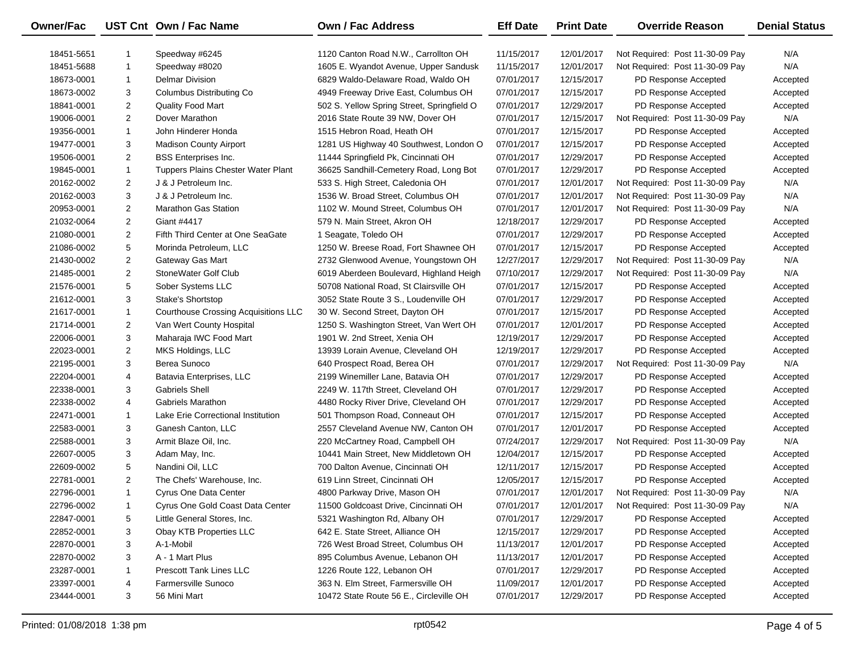| Owner/Fac  |                | UST Cnt Own / Fac Name                      | <b>Own / Fac Address</b>                   | <b>Eff Date</b> | <b>Print Date</b> | <b>Override Reason</b>          | <b>Denial Status</b> |
|------------|----------------|---------------------------------------------|--------------------------------------------|-----------------|-------------------|---------------------------------|----------------------|
| 18451-5651 |                | Speedway #6245                              | 1120 Canton Road N.W., Carrollton OH       | 11/15/2017      | 12/01/2017        | Not Required: Post 11-30-09 Pay | N/A                  |
| 18451-5688 | $\mathbf{1}$   | Speedway #8020                              | 1605 E. Wyandot Avenue, Upper Sandusk      | 11/15/2017      | 12/01/2017        | Not Required: Post 11-30-09 Pay | N/A                  |
| 18673-0001 | $\mathbf{1}$   | <b>Delmar Division</b>                      | 6829 Waldo-Delaware Road, Waldo OH         | 07/01/2017      | 12/15/2017        | PD Response Accepted            | Accepted             |
| 18673-0002 | 3              | Columbus Distributing Co                    | 4949 Freeway Drive East, Columbus OH       | 07/01/2017      | 12/15/2017        | PD Response Accepted            | Accepted             |
| 18841-0001 | $\overline{c}$ | Quality Food Mart                           | 502 S. Yellow Spring Street, Springfield O | 07/01/2017      | 12/29/2017        | PD Response Accepted            | Accepted             |
| 19006-0001 | 2              | Dover Marathon                              | 2016 State Route 39 NW, Dover OH           | 07/01/2017      | 12/15/2017        | Not Required: Post 11-30-09 Pay | N/A                  |
| 19356-0001 | 1              | John Hinderer Honda                         | 1515 Hebron Road, Heath OH                 | 07/01/2017      | 12/15/2017        | PD Response Accepted            | Accepted             |
| 19477-0001 | 3              | <b>Madison County Airport</b>               | 1281 US Highway 40 Southwest, London O     | 07/01/2017      | 12/15/2017        | PD Response Accepted            | Accepted             |
| 19506-0001 | $\overline{c}$ | <b>BSS</b> Enterprises Inc.                 | 11444 Springfield Pk, Cincinnati OH        | 07/01/2017      | 12/29/2017        | PD Response Accepted            | Accepted             |
| 19845-0001 | $\mathbf{1}$   | Tuppers Plains Chester Water Plant          | 36625 Sandhill-Cemetery Road, Long Bot     | 07/01/2017      | 12/29/2017        | PD Response Accepted            | Accepted             |
| 20162-0002 | $\overline{2}$ | J & J Petroleum Inc.                        | 533 S. High Street, Caledonia OH           | 07/01/2017      | 12/01/2017        | Not Required: Post 11-30-09 Pay | N/A                  |
| 20162-0003 | 3              | J & J Petroleum Inc.                        | 1536 W. Broad Street, Columbus OH          | 07/01/2017      | 12/01/2017        | Not Required: Post 11-30-09 Pay | N/A                  |
| 20953-0001 | $\overline{2}$ | <b>Marathon Gas Station</b>                 | 1102 W. Mound Street, Columbus OH          | 07/01/2017      | 12/01/2017        | Not Required: Post 11-30-09 Pay | N/A                  |
| 21032-0064 | $\overline{2}$ | Giant #4417                                 | 579 N. Main Street, Akron OH               | 12/18/2017      | 12/29/2017        | PD Response Accepted            | Accepted             |
| 21080-0001 | 2              | Fifth Third Center at One SeaGate           | 1 Seagate, Toledo OH                       | 07/01/2017      | 12/29/2017        | PD Response Accepted            | Accepted             |
| 21086-0002 | 5              | Morinda Petroleum, LLC                      | 1250 W. Breese Road, Fort Shawnee OH       | 07/01/2017      | 12/15/2017        | PD Response Accepted            | Accepted             |
| 21430-0002 | $\overline{2}$ | Gateway Gas Mart                            | 2732 Glenwood Avenue, Youngstown OH        | 12/27/2017      | 12/29/2017        | Not Required: Post 11-30-09 Pay | N/A                  |
| 21485-0001 | $\overline{2}$ | StoneWater Golf Club                        | 6019 Aberdeen Boulevard, Highland Heigh    | 07/10/2017      | 12/29/2017        | Not Required: Post 11-30-09 Pay | N/A                  |
| 21576-0001 | 5              | Sober Systems LLC                           | 50708 National Road, St Clairsville OH     | 07/01/2017      | 12/15/2017        | PD Response Accepted            | Accepted             |
| 21612-0001 | 3              | Stake's Shortstop                           | 3052 State Route 3 S., Loudenville OH      | 07/01/2017      | 12/29/2017        | PD Response Accepted            | Accepted             |
| 21617-0001 | 1              | <b>Courthouse Crossing Acquisitions LLC</b> | 30 W. Second Street, Dayton OH             | 07/01/2017      | 12/15/2017        | PD Response Accepted            | Accepted             |
| 21714-0001 | $\overline{2}$ | Van Wert County Hospital                    | 1250 S. Washington Street, Van Wert OH     | 07/01/2017      | 12/01/2017        | PD Response Accepted            | Accepted             |
| 22006-0001 | 3              | Maharaja IWC Food Mart                      | 1901 W. 2nd Street, Xenia OH               | 12/19/2017      | 12/29/2017        | PD Response Accepted            | Accepted             |
| 22023-0001 | $\overline{2}$ | MKS Holdings, LLC                           | 13939 Lorain Avenue, Cleveland OH          | 12/19/2017      | 12/29/2017        | PD Response Accepted            | Accepted             |
| 22195-0001 | 3              | Berea Sunoco                                | 640 Prospect Road, Berea OH                | 07/01/2017      | 12/29/2017        | Not Required: Post 11-30-09 Pay | N/A                  |
| 22204-0001 | 4              | Batavia Enterprises, LLC                    | 2199 Winemiller Lane, Batavia OH           | 07/01/2017      | 12/29/2017        | PD Response Accepted            | Accepted             |
| 22338-0001 | 3              | <b>Gabriels Shell</b>                       | 2249 W. 117th Street, Cleveland OH         | 07/01/2017      | 12/29/2017        | PD Response Accepted            | Accepted             |
| 22338-0002 | 4              | Gabriels Marathon                           | 4480 Rocky River Drive, Cleveland OH       | 07/01/2017      | 12/29/2017        | PD Response Accepted            | Accepted             |
| 22471-0001 | 1              | Lake Erie Correctional Institution          | 501 Thompson Road, Conneaut OH             | 07/01/2017      | 12/15/2017        | PD Response Accepted            | Accepted             |
| 22583-0001 | 3              | Ganesh Canton, LLC                          | 2557 Cleveland Avenue NW, Canton OH        | 07/01/2017      | 12/01/2017        | PD Response Accepted            | Accepted             |
| 22588-0001 | 3              | Armit Blaze Oil, Inc.                       | 220 McCartney Road, Campbell OH            | 07/24/2017      | 12/29/2017        | Not Required: Post 11-30-09 Pay | N/A                  |
| 22607-0005 | 3              | Adam May, Inc.                              | 10441 Main Street, New Middletown OH       | 12/04/2017      | 12/15/2017        | PD Response Accepted            | Accepted             |
| 22609-0002 | 5              | Nandini Oil, LLC                            | 700 Dalton Avenue, Cincinnati OH           | 12/11/2017      | 12/15/2017        | PD Response Accepted            | Accepted             |
| 22781-0001 | $\overline{2}$ | The Chefs' Warehouse, Inc.                  | 619 Linn Street, Cincinnati OH             | 12/05/2017      | 12/15/2017        | PD Response Accepted            | Accepted             |
| 22796-0001 | $\mathbf{1}$   | Cyrus One Data Center                       | 4800 Parkway Drive, Mason OH               | 07/01/2017      | 12/01/2017        | Not Required: Post 11-30-09 Pay | N/A                  |
| 22796-0002 | 1              | Cyrus One Gold Coast Data Center            | 11500 Goldcoast Drive, Cincinnati OH       | 07/01/2017      | 12/01/2017        | Not Required: Post 11-30-09 Pay | N/A                  |
| 22847-0001 | 5              | Little General Stores, Inc.                 | 5321 Washington Rd, Albany OH              | 07/01/2017      | 12/29/2017        | PD Response Accepted            | Accepted             |
| 22852-0001 | 3              | Obay KTB Properties LLC                     | 642 E. State Street, Alliance OH           | 12/15/2017      | 12/29/2017        | PD Response Accepted            | Accepted             |
| 22870-0001 | 3              | A-1-Mobil                                   | 726 West Broad Street, Columbus OH         | 11/13/2017      | 12/01/2017        | PD Response Accepted            | Accepted             |
| 22870-0002 | 3              | A - 1 Mart Plus                             | 895 Columbus Avenue, Lebanon OH            | 11/13/2017      | 12/01/2017        | PD Response Accepted            | Accepted             |
| 23287-0001 | 1              | Prescott Tank Lines LLC                     | 1226 Route 122, Lebanon OH                 | 07/01/2017      | 12/29/2017        | PD Response Accepted            | Accepted             |
| 23397-0001 | 4              | Farmersville Sunoco                         | 363 N. Elm Street, Farmersville OH         | 11/09/2017      | 12/01/2017        | PD Response Accepted            | Accepted             |
| 23444-0001 | 3              | 56 Mini Mart                                | 10472 State Route 56 E., Circleville OH    | 07/01/2017      | 12/29/2017        | PD Response Accepted            | Accepted             |

 $\overline{\phantom{0}}$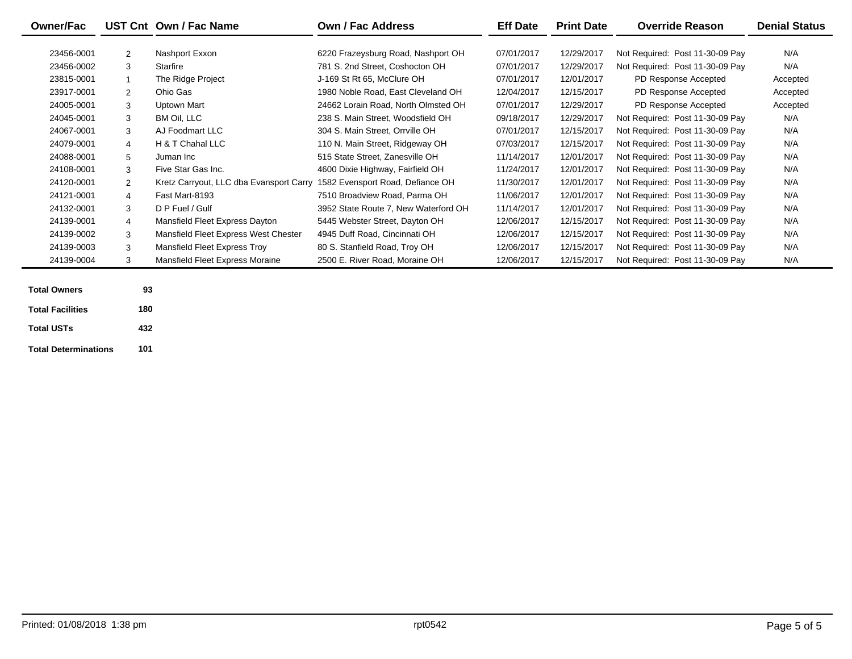|                |                                      | Own / Fac Address                    | <b>Eff Date</b>                         | <b>Print Date</b> | <b>Override Reason</b>          | <b>Denial Status</b> |
|----------------|--------------------------------------|--------------------------------------|-----------------------------------------|-------------------|---------------------------------|----------------------|
| 2              | Nashport Exxon                       | 6220 Frazeysburg Road, Nashport OH   | 07/01/2017                              | 12/29/2017        | Not Required: Post 11-30-09 Pay | N/A                  |
| 3              | Starfire                             | 781 S. 2nd Street. Coshocton OH      | 07/01/2017                              | 12/29/2017        | Not Required: Post 11-30-09 Pay | N/A                  |
|                | The Ridge Project                    | J-169 St Rt 65, McClure OH           | 07/01/2017                              | 12/01/2017        | PD Response Accepted            | Accepted             |
| 2              | Ohio Gas                             | 1980 Noble Road, East Cleveland OH   | 12/04/2017                              | 12/15/2017        | PD Response Accepted            | Accepted             |
| 3              | Uptown Mart                          | 24662 Lorain Road, North Olmsted OH  | 07/01/2017                              | 12/29/2017        | PD Response Accepted            | Accepted             |
| 3              | BM Oil, LLC                          | 238 S. Main Street, Woodsfield OH    | 09/18/2017                              | 12/29/2017        | Not Required: Post 11-30-09 Pay | N/A                  |
| 3              | AJ Foodmart LLC                      | 304 S. Main Street, Orrville OH      | 07/01/2017                              | 12/15/2017        | Not Required: Post 11-30-09 Pay | N/A                  |
| $\overline{4}$ | H & T Chahal LLC                     | 110 N. Main Street, Ridgeway OH      | 07/03/2017                              | 12/15/2017        | Not Required: Post 11-30-09 Pay | N/A                  |
| 5              | Juman Inc                            | 515 State Street, Zanesville OH      | 11/14/2017                              | 12/01/2017        | Not Required: Post 11-30-09 Pay | N/A                  |
| 3              | Five Star Gas Inc.                   | 4600 Dixie Highway, Fairfield OH     | 11/24/2017                              | 12/01/2017        | Not Required: Post 11-30-09 Pay | N/A                  |
| 2              |                                      | 1582 Evensport Road, Defiance OH     | 11/30/2017                              | 12/01/2017        | Not Required: Post 11-30-09 Pay | N/A                  |
| $\overline{4}$ | Fast Mart-8193                       | 7510 Broadview Road, Parma OH        | 11/06/2017                              | 12/01/2017        | Not Required: Post 11-30-09 Pay | N/A                  |
| 3              | D P Fuel / Gulf                      | 3952 State Route 7, New Waterford OH | 11/14/2017                              | 12/01/2017        | Not Required: Post 11-30-09 Pay | N/A                  |
| $\overline{4}$ | Mansfield Fleet Express Dayton       | 5445 Webster Street, Dayton OH       | 12/06/2017                              | 12/15/2017        | Not Required: Post 11-30-09 Pay | N/A                  |
| 3              | Mansfield Fleet Express West Chester | 4945 Duff Road, Cincinnati OH        | 12/06/2017                              | 12/15/2017        | Not Required: Post 11-30-09 Pay | N/A                  |
| 3              | Mansfield Fleet Express Troy         | 80 S. Stanfield Road, Troy OH        | 12/06/2017                              | 12/15/2017        | Not Required: Post 11-30-09 Pay | N/A                  |
| 3              | Mansfield Fleet Express Moraine      | 2500 E. River Road, Moraine OH       | 12/06/2017                              | 12/15/2017        | Not Required: Post 11-30-09 Pay | N/A                  |
|                |                                      | UST Cnt Own / Fac Name               | Kretz Carryout, LLC dba Evansport Carry |                   |                                 |                      |

| <b>Total Owners</b>         | 93  |
|-----------------------------|-----|
| <b>Total Facilities</b>     | 180 |
| <b>Total USTs</b>           | 432 |
| <b>Total Determinations</b> | 101 |